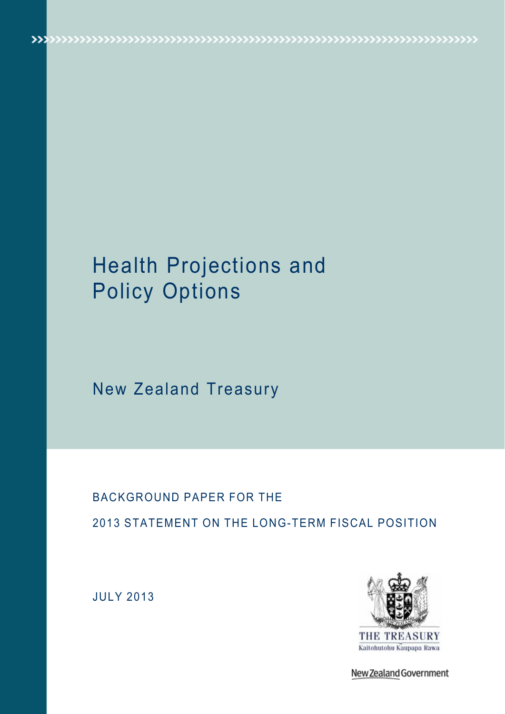# Health Projections and Policy Options

 $\label{eq:1} \textbf{W} \textbf{W} \textbf{W} \textbf{W} \textbf{W} \textbf{W} \textbf{W} \textbf{W} \textbf{W} \textbf{W} \textbf{W} \textbf{W} \textbf{W} \textbf{W} \textbf{W} \textbf{W} \textbf{W} \textbf{W} \textbf{W} \textbf{W} \textbf{W} \textbf{W} \textbf{W} \textbf{W} \textbf{W} \textbf{W} \textbf{W} \textbf{W} \textbf{W} \textbf{W} \textbf{W} \textbf{W} \textbf{W} \textbf{W} \textbf{W} \textbf$ 

New Zealand Treasury

## BACKGROUND PAPER FOR THE 2013 STATEMENT ON THE LONG-TERM FISCAL POSITION

JULY 2013



New Zealand Government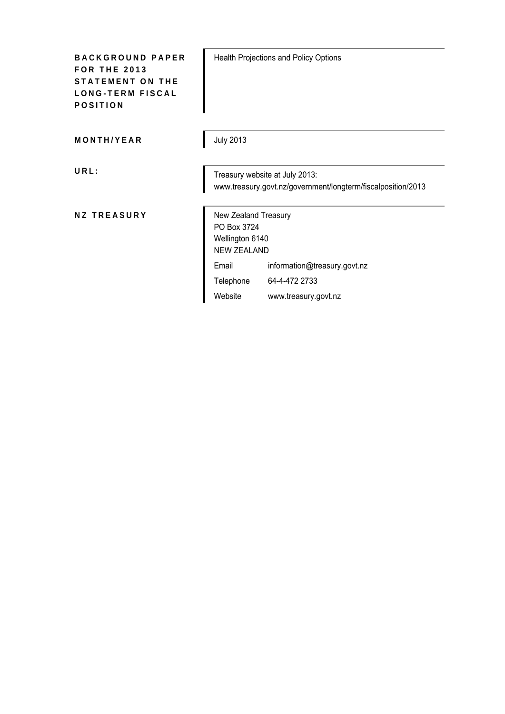| <b>BACKGROUND PAPER</b><br><b>FOR THE 2013</b><br><b>STATEMENT ON THE</b><br><b>LONG-TERM FISCAL</b><br><b>POSITION</b> |                                                                              | Health Projections and Policy Options                                                          |
|-------------------------------------------------------------------------------------------------------------------------|------------------------------------------------------------------------------|------------------------------------------------------------------------------------------------|
| MONTH/YEAR                                                                                                              | <b>July 2013</b>                                                             |                                                                                                |
| URL:                                                                                                                    |                                                                              | Treasury website at July 2013:<br>www.treasury.govt.nz/government/longterm/fiscalposition/2013 |
| <b>NZ TREASURY</b>                                                                                                      | New Zealand Treasury<br>PO Box 3724<br>Wellington 6140<br><b>NEW ZEALAND</b> |                                                                                                |
|                                                                                                                         | Email                                                                        | information@treasury.govt.nz                                                                   |
|                                                                                                                         | Telephone                                                                    | 64-4-472 2733                                                                                  |
|                                                                                                                         | Website                                                                      | www.treasury.govt.nz                                                                           |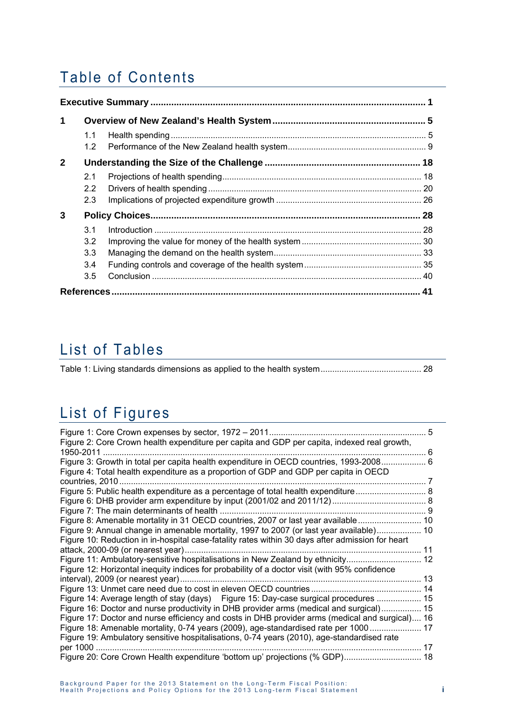## Table of Contents

| $\mathbf 1$ |                                              |  |
|-------------|----------------------------------------------|--|
|             | 1.1<br>1.2 <sub>1</sub>                      |  |
| $2^{\circ}$ |                                              |  |
|             | 2.1<br>2.2<br>2.3                            |  |
| 3           |                                              |  |
|             | 3.1<br>3.2<br>3.3 <sup>°</sup><br>3.4<br>3.5 |  |
|             |                                              |  |

## List of Tables

## List of Figures

| Figure 2: Core Crown health expenditure per capita and GDP per capita, indexed real growth,      | 6 |
|--------------------------------------------------------------------------------------------------|---|
| Figure 3: Growth in total per capita health expenditure in OECD countries, 1993-2008 6           |   |
| Figure 4: Total health expenditure as a proportion of GDP and GDP per capita in OECD             |   |
|                                                                                                  |   |
|                                                                                                  |   |
|                                                                                                  |   |
|                                                                                                  |   |
| Figure 8: Amenable mortality in 31 OECD countries, 2007 or last year available  10               |   |
| Figure 9: Annual change in amenable mortality, 1997 to 2007 (or last year available) 10          |   |
| Figure 10: Reduction in in-hospital case-fatality rates within 30 days after admission for heart |   |
|                                                                                                  |   |
| Figure 11: Ambulatory-sensitive hospitalisations in New Zealand by ethnicity 12                  |   |
| Figure 12: Horizontal inequity indices for probability of a doctor visit (with 95% confidence    |   |
|                                                                                                  |   |
|                                                                                                  |   |
| Figure 14: Average length of stay (days) Figure 15: Day-case surgical procedures  15             |   |
| Figure 16: Doctor and nurse productivity in DHB provider arms (medical and surgical) 15          |   |
| Figure 17: Doctor and nurse efficiency and costs in DHB provider arms (medical and surgical) 16  |   |
| Figure 18: Amenable mortality, 0-74 years (2009), age-standardised rate per 1000  17             |   |
| Figure 19: Ambulatory sensitive hospitalisations, 0-74 years (2010), age-standardised rate       |   |
| 17                                                                                               |   |
| Figure 20: Core Crown Health expenditure 'bottom up' projections (% GDP) 18                      |   |
|                                                                                                  |   |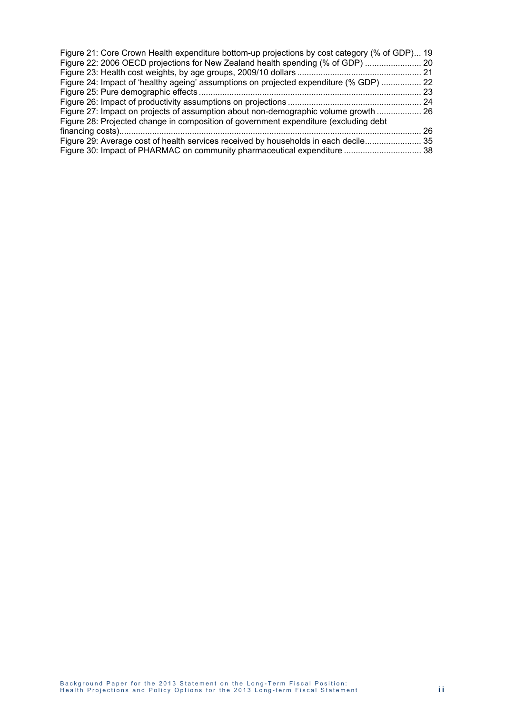| Figure 21: Core Crown Health expenditure bottom-up projections by cost category (% of GDP) 19 |    |
|-----------------------------------------------------------------------------------------------|----|
| Figure 22: 2006 OECD projections for New Zealand health spending (% of GDP)  20               |    |
|                                                                                               |    |
| Figure 24: Impact of 'healthy ageing' assumptions on projected expenditure (% GDP)  22        |    |
|                                                                                               | 23 |
|                                                                                               |    |
| Figure 27: Impact on projects of assumption about non-demographic volume growth  26           |    |
| Figure 28: Projected change in composition of government expenditure (excluding debt          |    |
|                                                                                               | 26 |
| Figure 29: Average cost of health services received by households in each decile 35           |    |
| Figure 30: Impact of PHARMAC on community pharmaceutical expenditure  38                      |    |
|                                                                                               |    |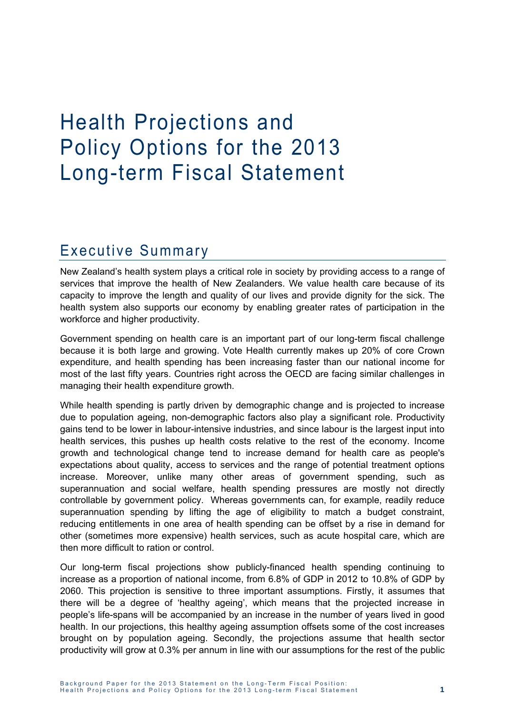# Health Projections and Policy Options for the 2013 Long-term Fiscal Statement

## Executive Summary

New Zealand's health system plays a critical role in society by providing access to a range of services that improve the health of New Zealanders. We value health care because of its capacity to improve the length and quality of our lives and provide dignity for the sick. The health system also supports our economy by enabling greater rates of participation in the workforce and higher productivity.

Government spending on health care is an important part of our long-term fiscal challenge because it is both large and growing. Vote Health currently makes up 20% of core Crown expenditure, and health spending has been increasing faster than our national income for most of the last fifty years. Countries right across the OECD are facing similar challenges in managing their health expenditure growth.

While health spending is partly driven by demographic change and is projected to increase due to population ageing, non-demographic factors also play a significant role. Productivity gains tend to be lower in labour-intensive industries, and since labour is the largest input into health services, this pushes up health costs relative to the rest of the economy. Income growth and technological change tend to increase demand for health care as people's expectations about quality, access to services and the range of potential treatment options increase. Moreover, unlike many other areas of government spending, such as superannuation and social welfare, health spending pressures are mostly not directly controllable by government policy. Whereas governments can, for example, readily reduce superannuation spending by lifting the age of eligibility to match a budget constraint, reducing entitlements in one area of health spending can be offset by a rise in demand for other (sometimes more expensive) health services, such as acute hospital care, which are then more difficult to ration or control.

Our long-term fiscal projections show publicly-financed health spending continuing to increase as a proportion of national income, from 6.8% of GDP in 2012 to 10.8% of GDP by 2060. This projection is sensitive to three important assumptions. Firstly, it assumes that there will be a degree of 'healthy ageing', which means that the projected increase in people's life-spans will be accompanied by an increase in the number of years lived in good health. In our projections, this healthy ageing assumption offsets some of the cost increases brought on by population ageing. Secondly, the projections assume that health sector productivity will grow at 0.3% per annum in line with our assumptions for the rest of the public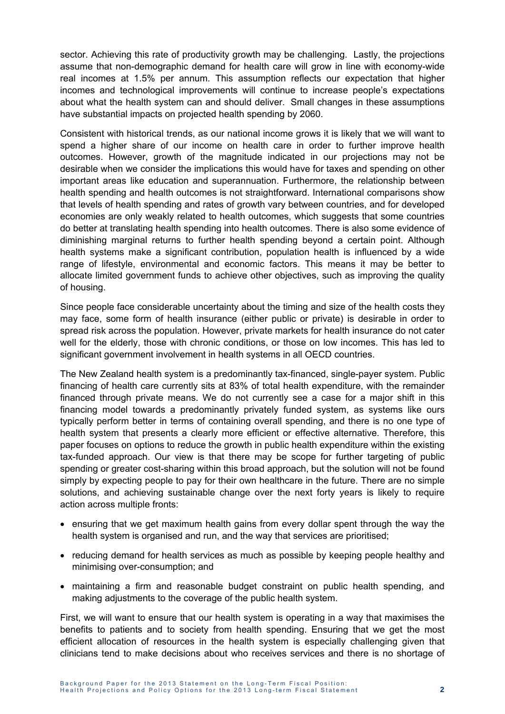sector. Achieving this rate of productivity growth may be challenging. Lastly, the projections assume that non-demographic demand for health care will grow in line with economy-wide real incomes at 1.5% per annum. This assumption reflects our expectation that higher incomes and technological improvements will continue to increase people's expectations about what the health system can and should deliver. Small changes in these assumptions have substantial impacts on projected health spending by 2060.

Consistent with historical trends, as our national income grows it is likely that we will want to spend a higher share of our income on health care in order to further improve health outcomes. However, growth of the magnitude indicated in our projections may not be desirable when we consider the implications this would have for taxes and spending on other important areas like education and superannuation. Furthermore, the relationship between health spending and health outcomes is not straightforward. International comparisons show that levels of health spending and rates of growth vary between countries, and for developed economies are only weakly related to health outcomes, which suggests that some countries do better at translating health spending into health outcomes. There is also some evidence of diminishing marginal returns to further health spending beyond a certain point. Although health systems make a significant contribution, population health is influenced by a wide range of lifestyle, environmental and economic factors. This means it may be better to allocate limited government funds to achieve other objectives, such as improving the quality of housing.

Since people face considerable uncertainty about the timing and size of the health costs they may face, some form of health insurance (either public or private) is desirable in order to spread risk across the population. However, private markets for health insurance do not cater well for the elderly, those with chronic conditions, or those on low incomes. This has led to significant government involvement in health systems in all OECD countries.

The New Zealand health system is a predominantly tax-financed, single-payer system. Public financing of health care currently sits at 83% of total health expenditure, with the remainder financed through private means. We do not currently see a case for a major shift in this financing model towards a predominantly privately funded system, as systems like ours typically perform better in terms of containing overall spending, and there is no one type of health system that presents a clearly more efficient or effective alternative. Therefore, this paper focuses on options to reduce the growth in public health expenditure within the existing tax-funded approach. Our view is that there may be scope for further targeting of public spending or greater cost-sharing within this broad approach, but the solution will not be found simply by expecting people to pay for their own healthcare in the future. There are no simple solutions, and achieving sustainable change over the next forty years is likely to require action across multiple fronts:

- ensuring that we get maximum health gains from every dollar spent through the way the health system is organised and run, and the way that services are prioritised;
- reducing demand for health services as much as possible by keeping people healthy and minimising over-consumption; and
- maintaining a firm and reasonable budget constraint on public health spending, and making adjustments to the coverage of the public health system.

First, we will want to ensure that our health system is operating in a way that maximises the benefits to patients and to society from health spending. Ensuring that we get the most efficient allocation of resources in the health system is especially challenging given that clinicians tend to make decisions about who receives services and there is no shortage of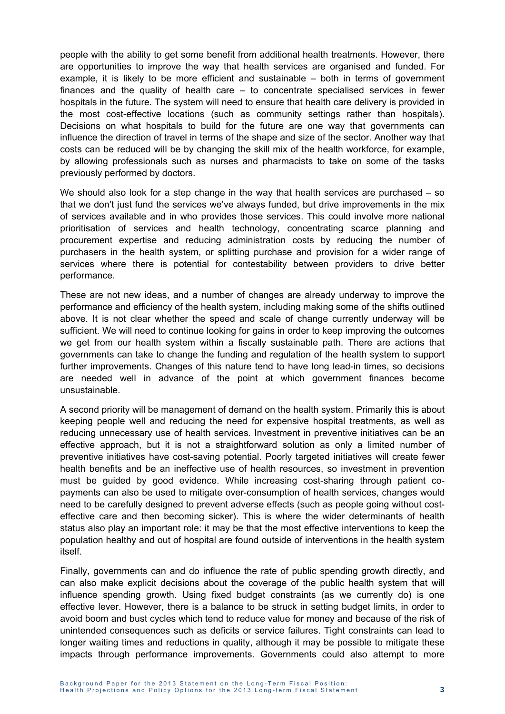people with the ability to get some benefit from additional health treatments. However, there are opportunities to improve the way that health services are organised and funded. For example, it is likely to be more efficient and sustainable – both in terms of government finances and the quality of health care – to concentrate specialised services in fewer hospitals in the future. The system will need to ensure that health care delivery is provided in the most cost-effective locations (such as community settings rather than hospitals). Decisions on what hospitals to build for the future are one way that governments can influence the direction of travel in terms of the shape and size of the sector. Another way that costs can be reduced will be by changing the skill mix of the health workforce, for example, by allowing professionals such as nurses and pharmacists to take on some of the tasks previously performed by doctors.

We should also look for a step change in the way that health services are purchased – so that we don't just fund the services we've always funded, but drive improvements in the mix of services available and in who provides those services. This could involve more national prioritisation of services and health technology, concentrating scarce planning and procurement expertise and reducing administration costs by reducing the number of purchasers in the health system, or splitting purchase and provision for a wider range of services where there is potential for contestability between providers to drive better performance.

These are not new ideas, and a number of changes are already underway to improve the performance and efficiency of the health system, including making some of the shifts outlined above. It is not clear whether the speed and scale of change currently underway will be sufficient. We will need to continue looking for gains in order to keep improving the outcomes we get from our health system within a fiscally sustainable path. There are actions that governments can take to change the funding and regulation of the health system to support further improvements. Changes of this nature tend to have long lead-in times, so decisions are needed well in advance of the point at which government finances become unsustainable.

A second priority will be management of demand on the health system. Primarily this is about keeping people well and reducing the need for expensive hospital treatments, as well as reducing unnecessary use of health services. Investment in preventive initiatives can be an effective approach, but it is not a straightforward solution as only a limited number of preventive initiatives have cost-saving potential. Poorly targeted initiatives will create fewer health benefits and be an ineffective use of health resources, so investment in prevention must be guided by good evidence. While increasing cost-sharing through patient copayments can also be used to mitigate over-consumption of health services, changes would need to be carefully designed to prevent adverse effects (such as people going without costeffective care and then becoming sicker). This is where the wider determinants of health status also play an important role: it may be that the most effective interventions to keep the population healthy and out of hospital are found outside of interventions in the health system itself.

Finally, governments can and do influence the rate of public spending growth directly, and can also make explicit decisions about the coverage of the public health system that will influence spending growth. Using fixed budget constraints (as we currently do) is one effective lever. However, there is a balance to be struck in setting budget limits, in order to avoid boom and bust cycles which tend to reduce value for money and because of the risk of unintended consequences such as deficits or service failures. Tight constraints can lead to longer waiting times and reductions in quality, although it may be possible to mitigate these impacts through performance improvements. Governments could also attempt to more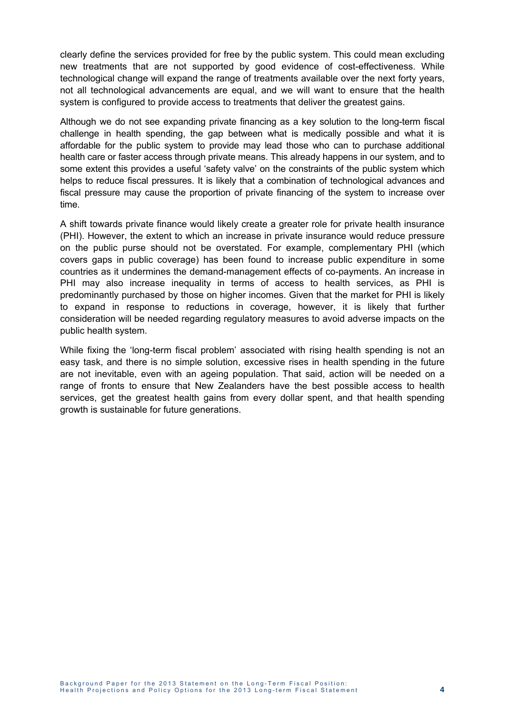clearly define the services provided for free by the public system. This could mean excluding new treatments that are not supported by good evidence of cost-effectiveness. While technological change will expand the range of treatments available over the next forty years, not all technological advancements are equal, and we will want to ensure that the health system is configured to provide access to treatments that deliver the greatest gains.

Although we do not see expanding private financing as a key solution to the long-term fiscal challenge in health spending, the gap between what is medically possible and what it is affordable for the public system to provide may lead those who can to purchase additional health care or faster access through private means. This already happens in our system, and to some extent this provides a useful 'safety valve' on the constraints of the public system which helps to reduce fiscal pressures. It is likely that a combination of technological advances and fiscal pressure may cause the proportion of private financing of the system to increase over time.

A shift towards private finance would likely create a greater role for private health insurance (PHI). However, the extent to which an increase in private insurance would reduce pressure on the public purse should not be overstated. For example, complementary PHI (which covers gaps in public coverage) has been found to increase public expenditure in some countries as it undermines the demand-management effects of co-payments. An increase in PHI may also increase inequality in terms of access to health services, as PHI is predominantly purchased by those on higher incomes. Given that the market for PHI is likely to expand in response to reductions in coverage, however, it is likely that further consideration will be needed regarding regulatory measures to avoid adverse impacts on the public health system.

While fixing the 'long-term fiscal problem' associated with rising health spending is not an easy task, and there is no simple solution, excessive rises in health spending in the future are not inevitable, even with an ageing population. That said, action will be needed on a range of fronts to ensure that New Zealanders have the best possible access to health services, get the greatest health gains from every dollar spent, and that health spending growth is sustainable for future generations.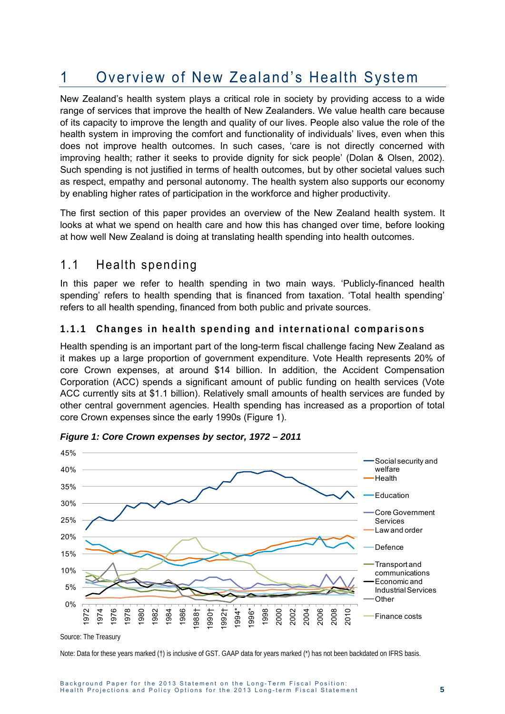## 1 Overview of New Zealand's Health System

New Zealand's health system plays a critical role in society by providing access to a wide range of services that improve the health of New Zealanders. We value health care because of its capacity to improve the length and quality of our lives. People also value the role of the health system in improving the comfort and functionality of individuals' lives, even when this does not improve health outcomes. In such cases, 'care is not directly concerned with improving health; rather it seeks to provide dignity for sick people' (Dolan & Olsen, 2002). Such spending is not justified in terms of health outcomes, but by other societal values such as respect, empathy and personal autonomy. The health system also supports our economy by enabling higher rates of participation in the workforce and higher productivity.

The first section of this paper provides an overview of the New Zealand health system. It looks at what we spend on health care and how this has changed over time, before looking at how well New Zealand is doing at translating health spending into health outcomes.

### 1.1 Health spending

In this paper we refer to health spending in two main ways. 'Publicly-financed health spending' refers to health spending that is financed from taxation. 'Total health spending' refers to all health spending, financed from both public and private sources.

#### **1.1.1 Changes in health spending and international comparisons**

Health spending is an important part of the long-term fiscal challenge facing New Zealand as it makes up a large proportion of government expenditure. Vote Health represents 20% of core Crown expenses, at around \$14 billion. In addition, the Accident Compensation Corporation (ACC) spends a significant amount of public funding on health services (Vote ACC currently sits at \$1.1 billion). Relatively small amounts of health services are funded by other central government agencies. Health spending has increased as a proportion of total core Crown expenses since the early 1990s (Figure 1).



*Figure 1: Core Crown expenses by sector, 1972 – 2011* 

Note: Data for these years marked (†) is inclusive of GST. GAAP data for years marked (\*) has not been backdated on IFRS basis.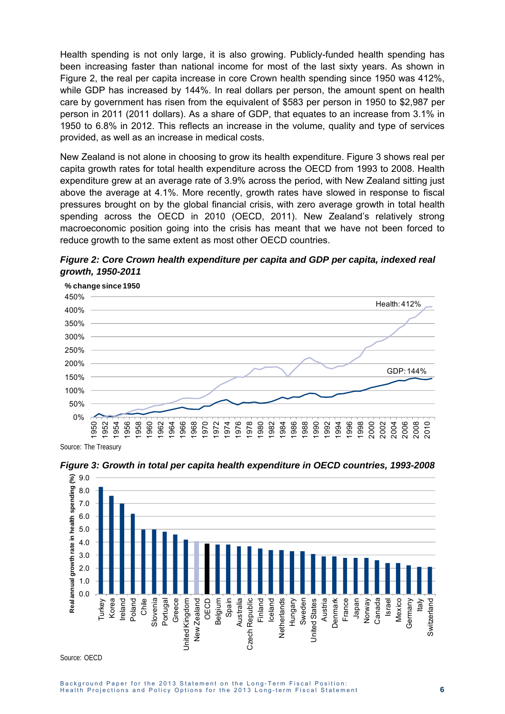Health spending is not only large, it is also growing. Publicly-funded health spending has been increasing faster than national income for most of the last sixty years. As shown in Figure 2, the real per capita increase in core Crown health spending since 1950 was 412%, while GDP has increased by 144%. In real dollars per person, the amount spent on health care by government has risen from the equivalent of \$583 per person in 1950 to \$2,987 per person in 2011 (2011 dollars). As a share of GDP, that equates to an increase from 3.1% in 1950 to 6.8% in 2012. This reflects an increase in the volume, quality and type of services provided, as well as an increase in medical costs.

New Zealand is not alone in choosing to grow its health expenditure. Figure 3 shows real per capita growth rates for total health expenditure across the OECD from 1993 to 2008. Health expenditure grew at an average rate of 3.9% across the period, with New Zealand sitting just above the average at 4.1%. More recently, growth rates have slowed in response to fiscal pressures brought on by the global financial crisis, with zero average growth in total health spending across the OECD in 2010 (OECD, 2011). New Zealand's relatively strong macroeconomic position going into the crisis has meant that we have not been forced to reduce growth to the same extent as most other OECD countries.

*Figure 2: Core Crown health expenditure per capita and GDP per capita, indexed real growth, 1950-2011* 



Source: The Treasury



*Figure 3: Growth in total per capita health expenditure in OECD countries, 1993-2008* 

Source: OECD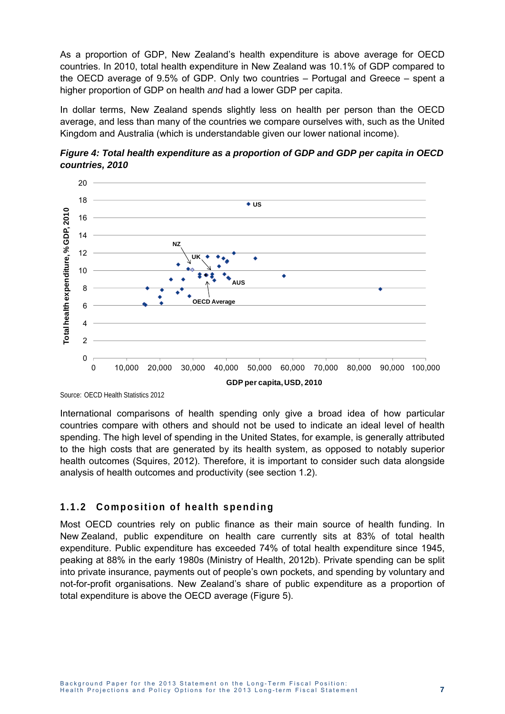As a proportion of GDP, New Zealand's health expenditure is above average for OECD countries. In 2010, total health expenditure in New Zealand was 10.1% of GDP compared to the OECD average of 9.5% of GDP. Only two countries – Portugal and Greece – spent a higher proportion of GDP on health *and* had a lower GDP per capita.

In dollar terms, New Zealand spends slightly less on health per person than the OECD average, and less than many of the countries we compare ourselves with, such as the United Kingdom and Australia (which is understandable given our lower national income).





Source: OECD Health Statistics 2012

International comparisons of health spending only give a broad idea of how particular countries compare with others and should not be used to indicate an ideal level of health spending. The high level of spending in the United States, for example, is generally attributed to the high costs that are generated by its health system, as opposed to notably superior health outcomes (Squires, 2012). Therefore, it is important to consider such data alongside analysis of health outcomes and productivity (see section 1.2).

#### **1.1.2 Composition of health spending**

Most OECD countries rely on public finance as their main source of health funding. In New Zealand, public expenditure on health care currently sits at 83% of total health expenditure. Public expenditure has exceeded 74% of total health expenditure since 1945, peaking at 88% in the early 1980s (Ministry of Health, 2012b). Private spending can be split into private insurance, payments out of people's own pockets, and spending by voluntary and not-for-profit organisations. New Zealand's share of public expenditure as a proportion of total expenditure is above the OECD average (Figure 5).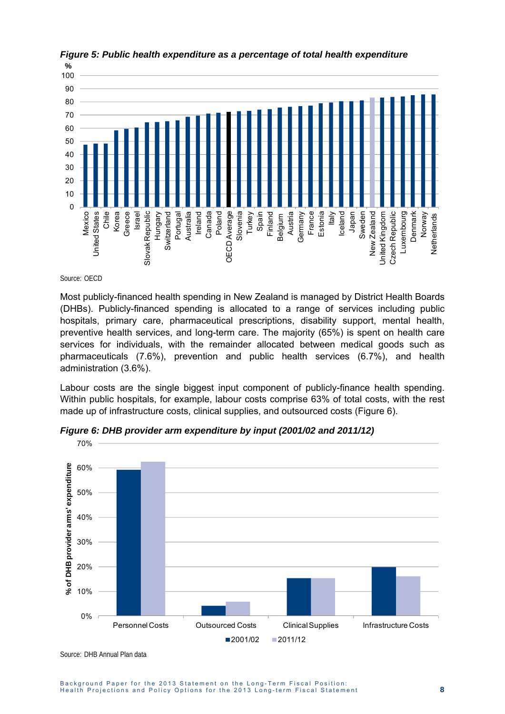

*Figure 5: Public health expenditure as a percentage of total health expenditure* 

Source: OECD

Most publicly-financed health spending in New Zealand is managed by District Health Boards (DHBs). Publicly-financed spending is allocated to a range of services including public hospitals, primary care, pharmaceutical prescriptions, disability support, mental health, preventive health services, and long-term care. The majority (65%) is spent on health care services for individuals, with the remainder allocated between medical goods such as pharmaceuticals (7.6%), prevention and public health services (6.7%), and health administration (3.6%).

Labour costs are the single biggest input component of publicly-finance health spending. Within public hospitals, for example, labour costs comprise 63% of total costs, with the rest made up of infrastructure costs, clinical supplies, and outsourced costs (Figure 6).



*Figure 6: DHB provider arm expenditure by input (2001/02 and 2011/12)* 

Source: DHB Annual Plan data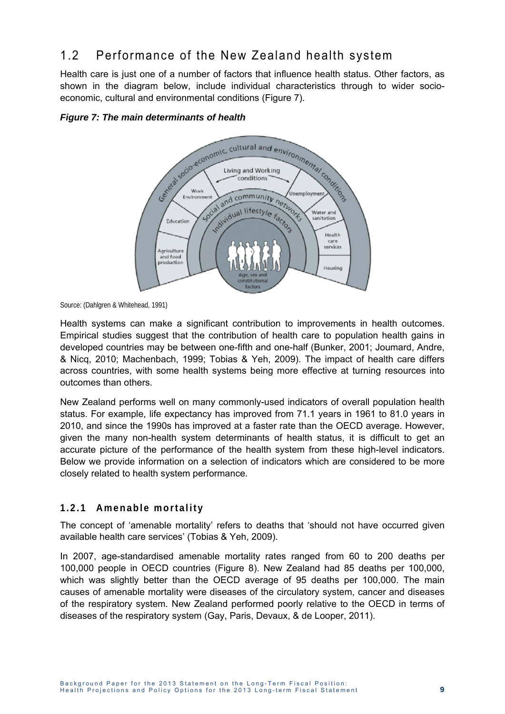## 1.2 Performance of the New Zealand health system

Health care is just one of a number of factors that influence health status. Other factors, as shown in the diagram below, include individual characteristics through to wider socioeconomic, cultural and environmental conditions (Figure 7).





Source: (Dahlgren & Whitehead, 1991)

Health systems can make a significant contribution to improvements in health outcomes. Empirical studies suggest that the contribution of health care to population health gains in developed countries may be between one-fifth and one-half (Bunker, 2001; Joumard, Andre, & Nicq, 2010; Machenbach, 1999; Tobias & Yeh, 2009). The impact of health care differs across countries, with some health systems being more effective at turning resources into outcomes than others.

New Zealand performs well on many commonly-used indicators of overall population health status. For example, life expectancy has improved from 71.1 years in 1961 to 81.0 years in 2010, and since the 1990s has improved at a faster rate than the OECD average. However, given the many non-health system determinants of health status, it is difficult to get an accurate picture of the performance of the health system from these high-level indicators. Below we provide information on a selection of indicators which are considered to be more closely related to health system performance.

#### **1.2.1 Amenable mortality**

The concept of 'amenable mortality' refers to deaths that 'should not have occurred given available health care services' (Tobias & Yeh, 2009).

In 2007, age-standardised amenable mortality rates ranged from 60 to 200 deaths per 100,000 people in OECD countries (Figure 8). New Zealand had 85 deaths per 100,000, which was slightly better than the OECD average of 95 deaths per 100,000. The main causes of amenable mortality were diseases of the circulatory system, cancer and diseases of the respiratory system. New Zealand performed poorly relative to the OECD in terms of diseases of the respiratory system (Gay, Paris, Devaux, & de Looper, 2011).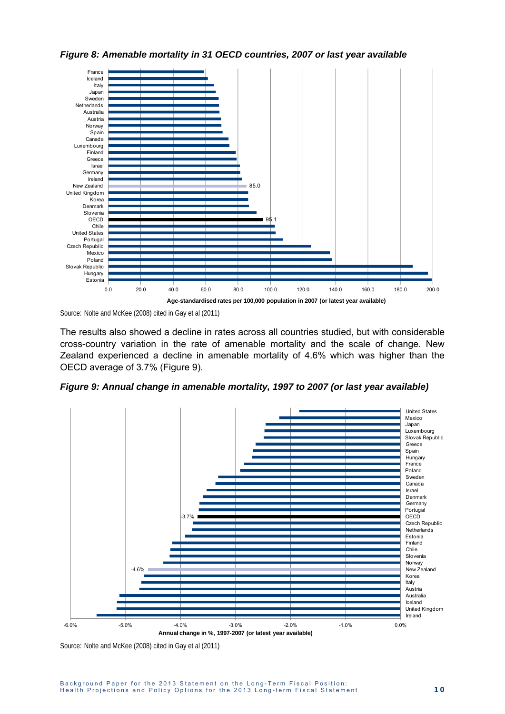

*Figure 8: Amenable mortality in 31 OECD countries, 2007 or last year available* 

Source: Nolte and McKee (2008) cited in Gay et al (2011)

The results also showed a decline in rates across all countries studied, but with considerable cross-country variation in the rate of amenable mortality and the scale of change. New Zealand experienced a decline in amenable mortality of 4.6% which was higher than the OECD average of 3.7% (Figure 9).

*Figure 9: Annual change in amenable mortality, 1997 to 2007 (or last year available)* 



Source: Nolte and McKee (2008) cited in Gay et al (2011)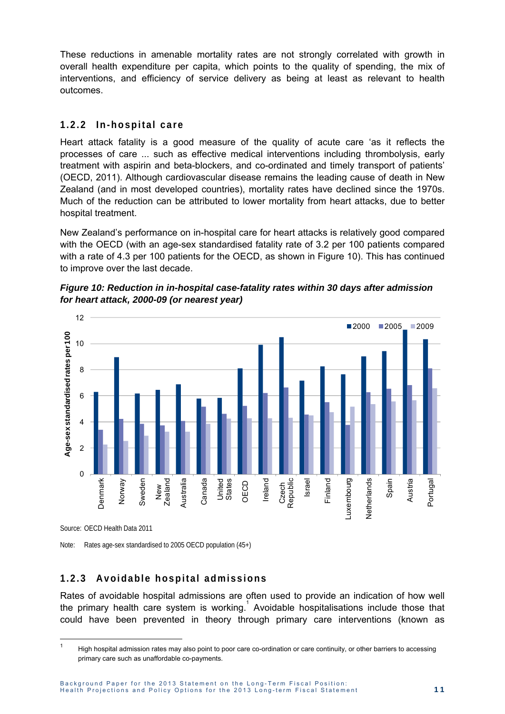These reductions in amenable mortality rates are not strongly correlated with growth in overall health expenditure per capita, which points to the quality of spending, the mix of interventions, and efficiency of service delivery as being at least as relevant to health outcomes.

#### 1.2.2 In-hospital care

Heart attack fatality is a good measure of the quality of acute care 'as it reflects the processes of care ... such as effective medical interventions including thrombolysis, early treatment with aspirin and beta-blockers, and co-ordinated and timely transport of patients' (OECD, 2011). Although cardiovascular disease remains the leading cause of death in New Zealand (and in most developed countries), mortality rates have declined since the 1970s. Much of the reduction can be attributed to lower mortality from heart attacks, due to better hospital treatment.

New Zealand's performance on in-hospital care for heart attacks is relatively good compared with the OECD (with an age-sex standardised fatality rate of 3.2 per 100 patients compared with a rate of 4.3 per 100 patients for the OECD, as shown in Figure 10). This has continued to improve over the last decade.





Source: OECD Health Data 2011

-

Note: Rates age-sex standardised to 2005 OECD population (45+)

#### **1.2.3 Avoidable hospital admissions**

Rates of avoidable hospital admissions are often used to provide an indication of how well the primary health care system is working. Avoidable hospitalisations include those that could have been prevented in theory through primary care interventions (known as

<sup>1</sup> High hospital admission rates may also point to poor care co-ordination or care continuity, or other barriers to accessing primary care such as unaffordable co-payments.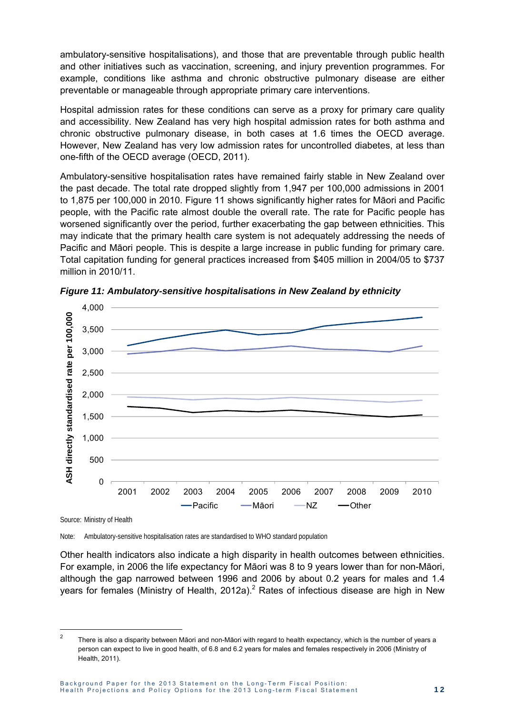ambulatory-sensitive hospitalisations), and those that are preventable through public health and other initiatives such as vaccination, screening, and injury prevention programmes. For example, conditions like asthma and chronic obstructive pulmonary disease are either preventable or manageable through appropriate primary care interventions.

Hospital admission rates for these conditions can serve as a proxy for primary care quality and accessibility. New Zealand has very high hospital admission rates for both asthma and chronic obstructive pulmonary disease, in both cases at 1.6 times the OECD average. However, New Zealand has very low admission rates for uncontrolled diabetes, at less than one-fifth of the OECD average (OECD, 2011).

Ambulatory-sensitive hospitalisation rates have remained fairly stable in New Zealand over the past decade. The total rate dropped slightly from 1,947 per 100,000 admissions in 2001 to 1,875 per 100,000 in 2010. Figure 11 shows significantly higher rates for Māori and Pacific people, with the Pacific rate almost double the overall rate. The rate for Pacific people has worsened significantly over the period, further exacerbating the gap between ethnicities. This may indicate that the primary health care system is not adequately addressing the needs of Pacific and Māori people. This is despite a large increase in public funding for primary care. Total capitation funding for general practices increased from \$405 million in 2004/05 to \$737 million in 2010/11.



*Figure 11: Ambulatory-sensitive hospitalisations in New Zealand by ethnicity* 

Note: Ambulatory-sensitive hospitalisation rates are standardised to WHO standard population

Other health indicators also indicate a high disparity in health outcomes between ethnicities. For example, in 2006 the life expectancy for Māori was 8 to 9 years lower than for non-Māori, although the gap narrowed between 1996 and 2006 by about 0.2 years for males and 1.4 years for females (Ministry of Health, 2012a).<sup>2</sup> Rates of infectious disease are high in New

 $\overline{2}$ There is also a disparity between Māori and non-Māori with regard to health expectancy, which is the number of years a person can expect to live in good health, of 6.8 and 6.2 years for males and females respectively in 2006 (Ministry of Health, 2011).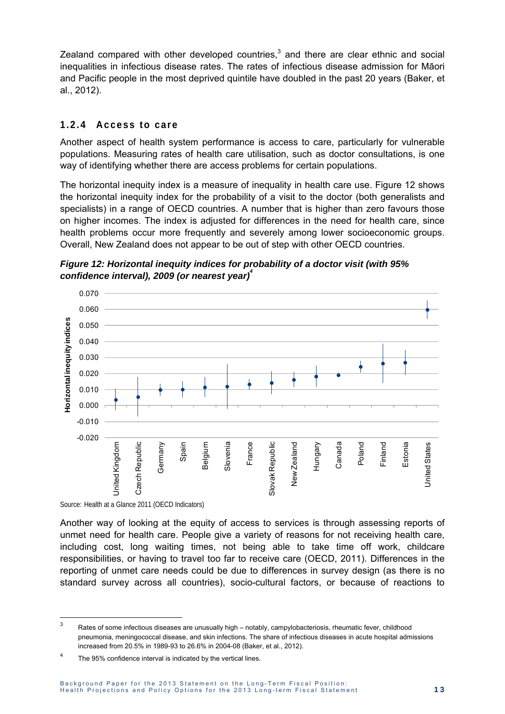Zealand compared with other developed countries, $3$  and there are clear ethnic and social inequalities in infectious disease rates. The rates of infectious disease admission for Māori and Pacific people in the most deprived quintile have doubled in the past 20 years (Baker, et al., 2012).

#### **1.2.4 Access to care**

Another aspect of health system performance is access to care, particularly for vulnerable populations. Measuring rates of health care utilisation, such as doctor consultations, is one way of identifying whether there are access problems for certain populations.

The horizontal inequity index is a measure of inequality in health care use. Figure 12 shows the horizontal inequity index for the probability of a visit to the doctor (both generalists and specialists) in a range of OECD countries. A number that is higher than zero favours those on higher incomes. The index is adjusted for differences in the need for health care, since health problems occur more frequently and severely among lower socioeconomic groups. Overall, New Zealand does not appear to be out of step with other OECD countries.





Source: Health at a Glance 2011 (OECD Indicators)

-

Another way of looking at the equity of access to services is through assessing reports of unmet need for health care. People give a variety of reasons for not receiving health care, including cost, long waiting times, not being able to take time off work, childcare responsibilities, or having to travel too far to receive care (OECD, 2011). Differences in the reporting of unmet care needs could be due to differences in survey design (as there is no standard survey across all countries), socio-cultural factors, or because of reactions to

 $3$  Rates of some infectious diseases are unusually high – notably, campylobacteriosis, rheumatic fever, childhood pneumonia, meningococcal disease, and skin infections. The share of infectious diseases in acute hospital admissions increased from 20.5% in 1989-93 to 26.6% in 2004-08 (Baker, et al., 2012).

<sup>4</sup> The 95% confidence interval is indicated by the vertical lines.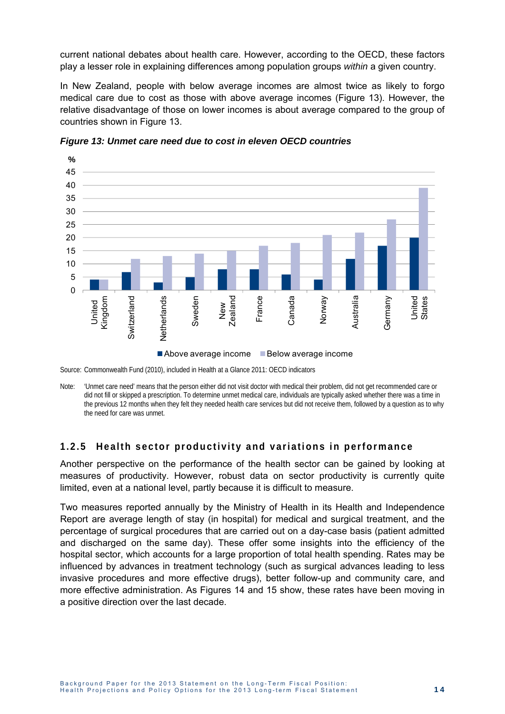current national debates about health care. However, according to the OECD, these factors play a lesser role in explaining differences among population groups *within* a given country.

In New Zealand, people with below average incomes are almost twice as likely to forgo medical care due to cost as those with above average incomes (Figure 13). However, the relative disadvantage of those on lower incomes is about average compared to the group of countries shown in Figure 13.



*Figure 13: Unmet care need due to cost in eleven OECD countries* 

Note: 'Unmet care need' means that the person either did not visit doctor with medical their problem, did not get recommended care or did not fill or skipped a prescription. To determine unmet medical care, individuals are typically asked whether there was a time in the previous 12 months when they felt they needed health care services but did not receive them, followed by a question as to why the need for care was unmet.

#### **1.2.5 Health sector productivity and variations in performance**

Another perspective on the performance of the health sector can be gained by looking at measures of productivity. However, robust data on sector productivity is currently quite limited, even at a national level, partly because it is difficult to measure.

Two measures reported annually by the Ministry of Health in its Health and Independence Report are average length of stay (in hospital) for medical and surgical treatment, and the percentage of surgical procedures that are carried out on a day-case basis (patient admitted and discharged on the same day). These offer some insights into the efficiency of the hospital sector, which accounts for a large proportion of total health spending. Rates may be influenced by advances in treatment technology (such as surgical advances leading to less invasive procedures and more effective drugs), better follow-up and community care, and more effective administration. As Figures 14 and 15 show, these rates have been moving in a positive direction over the last decade.

Source: Commonwealth Fund (2010), included in Health at a Glance 2011: OECD indicators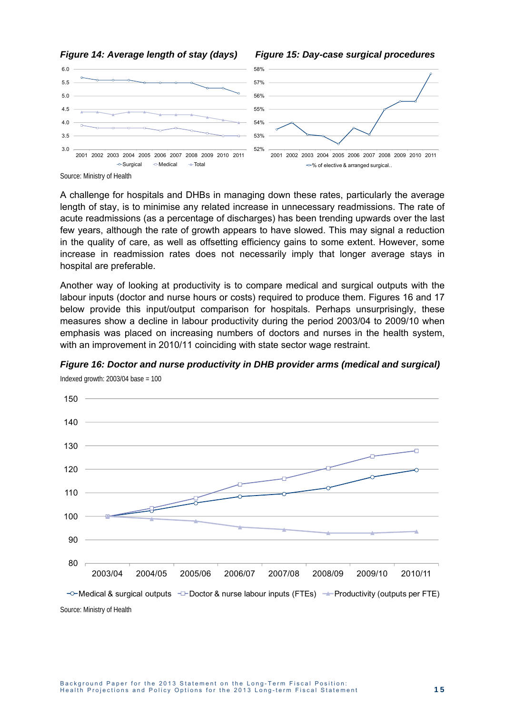



A challenge for hospitals and DHBs in managing down these rates, particularly the average length of stay, is to minimise any related increase in unnecessary readmissions. The rate of acute readmissions (as a percentage of discharges) has been trending upwards over the last few years, although the rate of growth appears to have slowed. This may signal a reduction in the quality of care, as well as offsetting efficiency gains to some extent. However, some increase in readmission rates does not necessarily imply that longer average stays in hospital are preferable.

Another way of looking at productivity is to compare medical and surgical outputs with the labour inputs (doctor and nurse hours or costs) required to produce them. Figures 16 and 17 below provide this input/output comparison for hospitals. Perhaps unsurprisingly, these measures show a decline in labour productivity during the period 2003/04 to 2009/10 when emphasis was placed on increasing numbers of doctors and nurses in the health system, with an improvement in 2010/11 coinciding with state sector wage restraint.



*Figure 16: Doctor and nurse productivity in DHB provider arms (medical and surgical)* 

Indexed growth:  $2003/04$  base = 100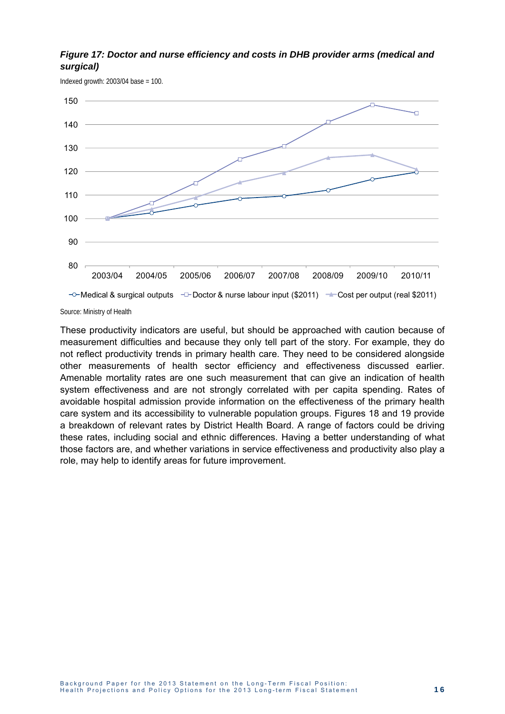#### *Figure 17: Doctor and nurse efficiency and costs in DHB provider arms (medical and surgical)*

Indexed growth:  $2003/04$  base = 100.



Source: Ministry of Health

These productivity indicators are useful, but should be approached with caution because of measurement difficulties and because they only tell part of the story. For example, they do not reflect productivity trends in primary health care. They need to be considered alongside other measurements of health sector efficiency and effectiveness discussed earlier. Amenable mortality rates are one such measurement that can give an indication of health system effectiveness and are not strongly correlated with per capita spending. Rates of avoidable hospital admission provide information on the effectiveness of the primary health care system and its accessibility to vulnerable population groups. Figures 18 and 19 provide a breakdown of relevant rates by District Health Board. A range of factors could be driving these rates, including social and ethnic differences. Having a better understanding of what those factors are, and whether variations in service effectiveness and productivity also play a role, may help to identify areas for future improvement.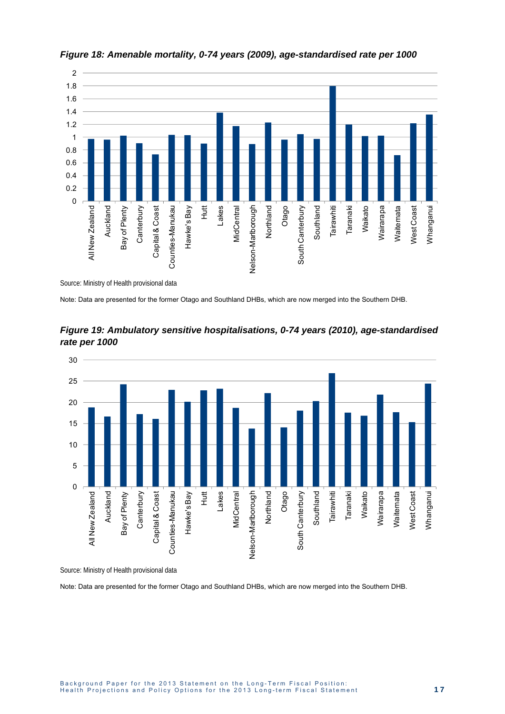

*Figure 18: Amenable mortality, 0-74 years (2009), age-standardised rate per 1000* 

Note: Data are presented for the former Otago and Southland DHBs, which are now merged into the Southern DHB.



*Figure 19: Ambulatory sensitive hospitalisations, 0-74 years (2010), age-standardised rate per 1000* 

Source: Ministry of Health provisional data

Note: Data are presented for the former Otago and Southland DHBs, which are now merged into the Southern DHB.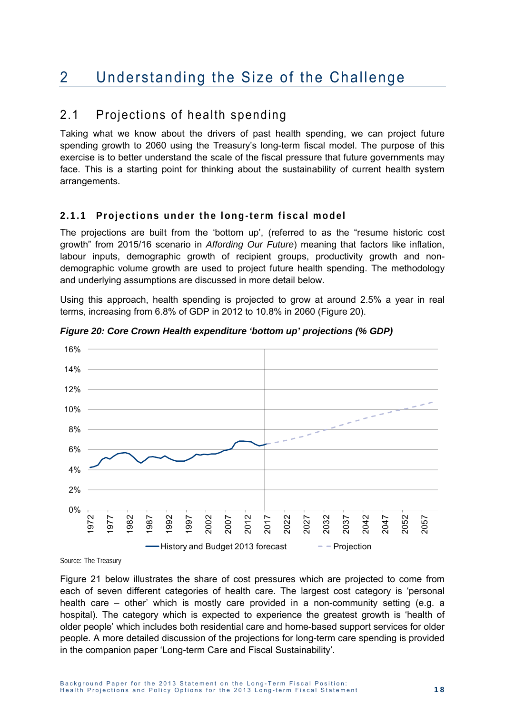## 2 Understanding the Size of the Challenge

### 2.1 Projections of health spending

Taking what we know about the drivers of past health spending, we can project future spending growth to 2060 using the Treasury's long-term fiscal model. The purpose of this exercise is to better understand the scale of the fiscal pressure that future governments may face. This is a starting point for thinking about the sustainability of current health system arrangements.

#### **2.1.1 Projections under the long-term fiscal model**

The projections are built from the 'bottom up', (referred to as the "resume historic cost growth" from 2015/16 scenario in *Affording Our Future*) meaning that factors like inflation, labour inputs, demographic growth of recipient groups, productivity growth and nondemographic volume growth are used to project future health spending. The methodology and underlying assumptions are discussed in more detail below.

Using this approach, health spending is projected to grow at around 2.5% a year in real terms, increasing from 6.8% of GDP in 2012 to 10.8% in 2060 (Figure 20).



*Figure 20: Core Crown Health expenditure 'bottom up' projections (% GDP)* 

Source: The Treasury

Figure 21 below illustrates the share of cost pressures which are projected to come from each of seven different categories of health care. The largest cost category is 'personal health care – other' which is mostly care provided in a non-community setting (e.g. a hospital). The category which is expected to experience the greatest growth is 'health of older people' which includes both residential care and home-based support services for older people. A more detailed discussion of the projections for long-term care spending is provided in the companion paper 'Long-term Care and Fiscal Sustainability'.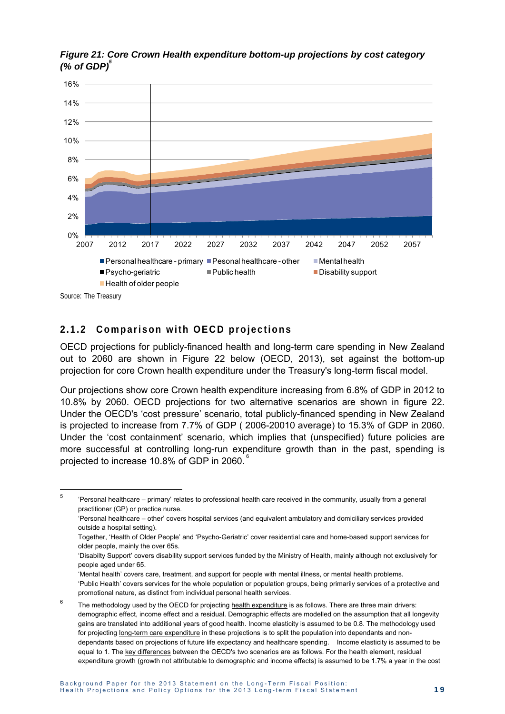

*Figure 21: Core Crown Health expenditure bottom-up projections by cost category (% of GDP)* $^{\circ}$ 

Source: The Treasury

-

#### **2.1.2 Comparison with OECD projections**

OECD projections for publicly-financed health and long-term care spending in New Zealand out to 2060 are shown in Figure 22 below (OECD, 2013), set against the bottom-up projection for core Crown health expenditure under the Treasury's long-term fiscal model.

Our projections show core Crown health expenditure increasing from 6.8% of GDP in 2012 to 10.8% by 2060. OECD projections for two alternative scenarios are shown in figure 22. Under the OECD's 'cost pressure' scenario, total publicly-financed spending in New Zealand is projected to increase from 7.7% of GDP ( 2006-20010 average) to 15.3% of GDP in 2060. Under the 'cost containment' scenario, which implies that (unspecified) future policies are more successful at controlling long-run expenditure growth than in the past, spending is projected to increase 10.8% of GDP in 2060.

5 'Personal healthcare – primary' relates to professional health care received in the community, usually from a general practitioner (GP) or practice nurse.

<sup>&#</sup>x27;Personal healthcare – other' covers hospital services (and equivalent ambulatory and domiciliary services provided outside a hospital setting).

Together, 'Health of Older People' and 'Psycho-Geriatric' cover residential care and home-based support services for older people, mainly the over 65s.

<sup>&#</sup>x27;Disabilty Support' covers disability support services funded by the Ministry of Health, mainly although not exclusively for people aged under 65.

<sup>&#</sup>x27;Mental health' covers care, treatment, and support for people with mental illness, or mental health problems. 'Public Health' covers services for the whole population or population groups, being primarily services of a protective and promotional nature, as distinct from individual personal health services.

<sup>6</sup> The methodology used by the OECD for projecting health expenditure is as follows. There are three main drivers: demographic effect, income effect and a residual. Demographic effects are modelled on the assumption that all longevity gains are translated into additional years of good health. Income elasticity is assumed to be 0.8. The methodology used for projecting long-term care expenditure in these projections is to split the population into dependants and nondependants based on projections of future life expectancy and healthcare spending. Income elasticity is assumed to be equal to 1. The key differences between the OECD's two scenarios are as follows. For the health element, residual expenditure growth (growth not attributable to demographic and income effects) is assumed to be 1.7% a year in the cost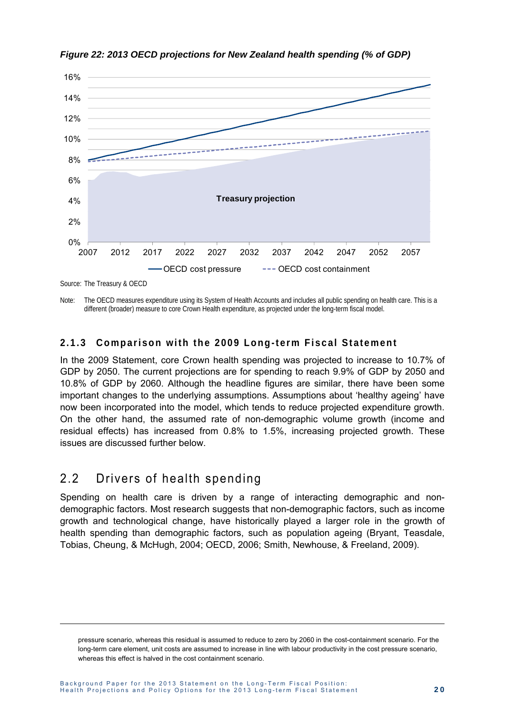

*Figure 22: 2013 OECD projections for New Zealand health spending (% of GDP)* 

Note: The OECD measures expenditure using its System of Health Accounts and includes all public spending on health care. This is a different (broader) measure to core Crown Health expenditure, as projected under the long-term fiscal model.

#### **2.1.3 Comparison with the 2009 Long-term Fiscal Statement**

In the 2009 Statement, core Crown health spending was projected to increase to 10.7% of GDP by 2050. The current projections are for spending to reach 9.9% of GDP by 2050 and 10.8% of GDP by 2060. Although the headline figures are similar, there have been some important changes to the underlying assumptions. Assumptions about 'healthy ageing' have now been incorporated into the model, which tends to reduce projected expenditure growth. On the other hand, the assumed rate of non-demographic volume growth (income and residual effects) has increased from 0.8% to 1.5%, increasing projected growth. These issues are discussed further below.

### 2.2 Drivers of health spending

 $\overline{a}$ 

Spending on health care is driven by a range of interacting demographic and nondemographic factors. Most research suggests that non-demographic factors, such as income growth and technological change, have historically played a larger role in the growth of health spending than demographic factors, such as population ageing (Bryant, Teasdale, Tobias, Cheung, & McHugh, 2004; OECD, 2006; Smith, Newhouse, & Freeland, 2009).

pressure scenario, whereas this residual is assumed to reduce to zero by 2060 in the cost-containment scenario. For the long-term care element, unit costs are assumed to increase in line with labour productivity in the cost pressure scenario, whereas this effect is halved in the cost containment scenario.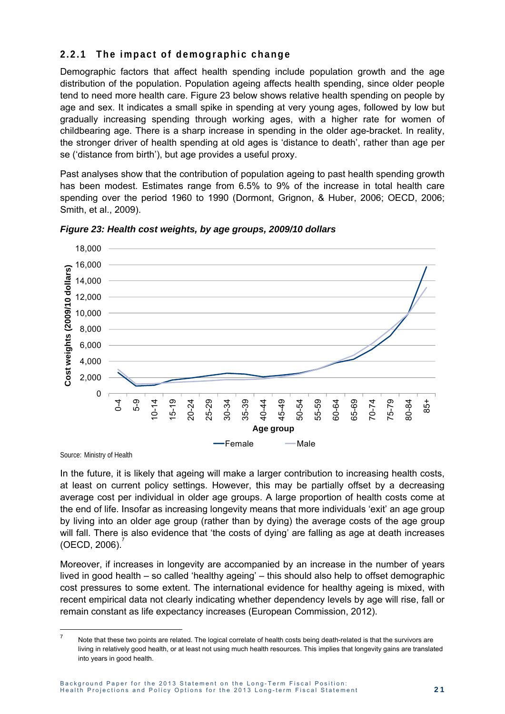#### **2.2.1 The impact of demographic change**

Demographic factors that affect health spending include population growth and the age distribution of the population. Population ageing affects health spending, since older people tend to need more health care. Figure 23 below shows relative health spending on people by age and sex. It indicates a small spike in spending at very young ages, followed by low but gradually increasing spending through working ages, with a higher rate for women of childbearing age. There is a sharp increase in spending in the older age-bracket. In reality, the stronger driver of health spending at old ages is 'distance to death', rather than age per se ('distance from birth'), but age provides a useful proxy.

Past analyses show that the contribution of population ageing to past health spending growth has been modest. Estimates range from 6.5% to 9% of the increase in total health care spending over the period 1960 to 1990 (Dormont, Grignon, & Huber, 2006; OECD, 2006; Smith, et al., 2009).



*Figure 23: Health cost weights, by age groups, 2009/10 dollars* 

Source: Ministry of Health

In the future, it is likely that ageing will make a larger contribution to increasing health costs, at least on current policy settings. However, this may be partially offset by a decreasing average cost per individual in older age groups. A large proportion of health costs come at the end of life. Insofar as increasing longevity means that more individuals 'exit' an age group by living into an older age group (rather than by dying) the average costs of the age group will fall. There is also evidence that 'the costs of dying' are falling as age at death increases  $(OECD, 2006).$ 

Moreover, if increases in longevity are accompanied by an increase in the number of years lived in good health – so called 'healthy ageing' – this should also help to offset demographic cost pressures to some extent. The international evidence for healthy ageing is mixed, with recent empirical data not clearly indicating whether dependency levels by age will rise, fall or remain constant as life expectancy increases (European Commission, 2012).

 $\frac{1}{7}$  Note that these two points are related. The logical correlate of health costs being death-related is that the survivors are living in relatively good health, or at least not using much health resources. This implies that longevity gains are translated into years in good health.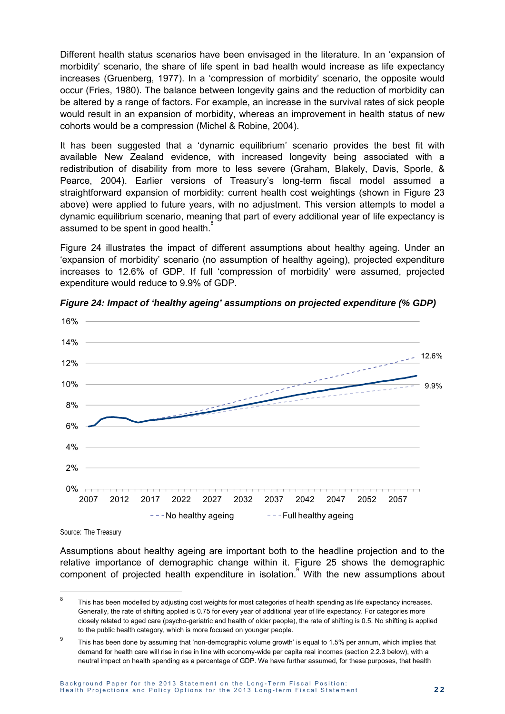Different health status scenarios have been envisaged in the literature. In an 'expansion of morbidity' scenario, the share of life spent in bad health would increase as life expectancy increases (Gruenberg, 1977). In a 'compression of morbidity' scenario, the opposite would occur (Fries, 1980). The balance between longevity gains and the reduction of morbidity can be altered by a range of factors. For example, an increase in the survival rates of sick people would result in an expansion of morbidity, whereas an improvement in health status of new cohorts would be a compression (Michel & Robine, 2004).

It has been suggested that a 'dynamic equilibrium' scenario provides the best fit with available New Zealand evidence, with increased longevity being associated with a redistribution of disability from more to less severe (Graham, Blakely, Davis, Sporle, & Pearce, 2004). Earlier versions of Treasury's long-term fiscal model assumed a straightforward expansion of morbidity: current health cost weightings (shown in Figure 23 above) were applied to future years, with no adjustment. This version attempts to model a dynamic equilibrium scenario, meaning that part of every additional year of life expectancy is assumed to be spent in good health.<sup>8</sup> Ĩ.

Figure 24 illustrates the impact of different assumptions about healthy ageing. Under an 'expansion of morbidity' scenario (no assumption of healthy ageing), projected expenditure increases to 12.6% of GDP. If full 'compression of morbidity' were assumed, projected expenditure would reduce to 9.9% of GDP.



*Figure 24: Impact of 'healthy ageing' assumptions on projected expenditure (% GDP)* 

Source: The Treasury

-

Assumptions about healthy ageing are important both to the headline projection and to the relative importance of demographic change within it. Figure 25 shows the demographic component of projected health expenditure in isolation.<sup>9</sup> With the new assumptions about

<sup>8</sup> This has been modelled by adjusting cost weights for most categories of health spending as life expectancy increases. Generally, the rate of shifting applied is 0.75 for every year of additional year of life expectancy. For categories more closely related to aged care (psycho-geriatric and health of older people), the rate of shifting is 0.5. No shifting is applied to the public health category, which is more focused on younger people.

 $\mathsf{q}$  This has been done by assuming that 'non-demographic volume growth' is equal to 1.5% per annum, which implies that demand for health care will rise in rise in line with economy-wide per capita real incomes (section 2.2.3 below), with a neutral impact on health spending as a percentage of GDP. We have further assumed, for these purposes, that health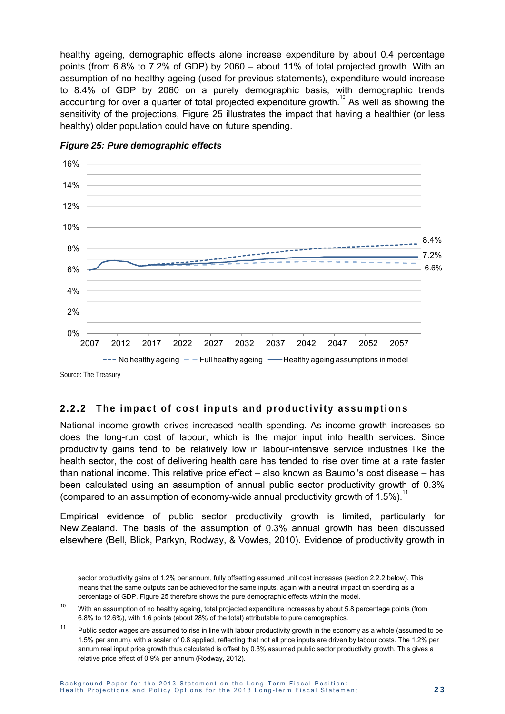healthy ageing, demographic effects alone increase expenditure by about 0.4 percentage points (from 6.8% to 7.2% of GDP) by 2060 – about 11% of total projected growth. With an assumption of no healthy ageing (used for previous statements), expenditure would increase to 8.4% of GDP by 2060 on a purely demographic basis, with demographic trends accounting for over a quarter of total projected expenditure growth.<sup>10</sup> As well as showing the sensitivity of the projections. Figure 25 illustrates the impact that having a healthier (or less healthy) older population could have on future spending.



*Figure 25: Pure demographic effects* 

Source: The Treasury

 $\overline{a}$ 

#### **2.2.2 The impact of cost inputs and productivity assumptions**

National income growth drives increased health spending. As income growth increases so does the long-run cost of labour, which is the major input into health services. Since productivity gains tend to be relatively low in labour-intensive service industries like the health sector, the cost of delivering health care has tended to rise over time at a rate faster than national income. This relative price effect – also known as Baumol's cost disease – has been calculated using an assumption of annual public sector productivity growth of 0.3% (compared to an assumption of economy-wide annual productivity growth of 1.5%).<sup>1</sup>

Empirical evidence of public sector productivity growth is limited, particularly for New Zealand. The basis of the assumption of 0.3% annual growth has been discussed elsewhere (Bell, Blick, Parkyn, Rodway, & Vowles, 2010). Evidence of productivity growth in

sector productivity gains of 1.2% per annum, fully offsetting assumed unit cost increases (section 2.2.2 below). This means that the same outputs can be achieved for the same inputs, again with a neutral impact on spending as a percentage of GDP. Figure 25 therefore shows the pure demographic effects within the model.

<sup>&</sup>lt;sup>10</sup> With an assumption of no healthy ageing, total projected expenditure increases by about 5.8 percentage points (from 6.8% to 12.6%), with 1.6 points (about 28% of the total) attributable to pure demographics.

<sup>&</sup>lt;sup>11</sup> Public sector wages are assumed to rise in line with labour productivity growth in the economy as a whole (assumed to be 1.5% per annum), with a scalar of 0.8 applied, reflecting that not all price inputs are driven by labour costs. The 1.2% per annum real input price growth thus calculated is offset by 0.3% assumed public sector productivity growth. This gives a relative price effect of 0.9% per annum (Rodway, 2012).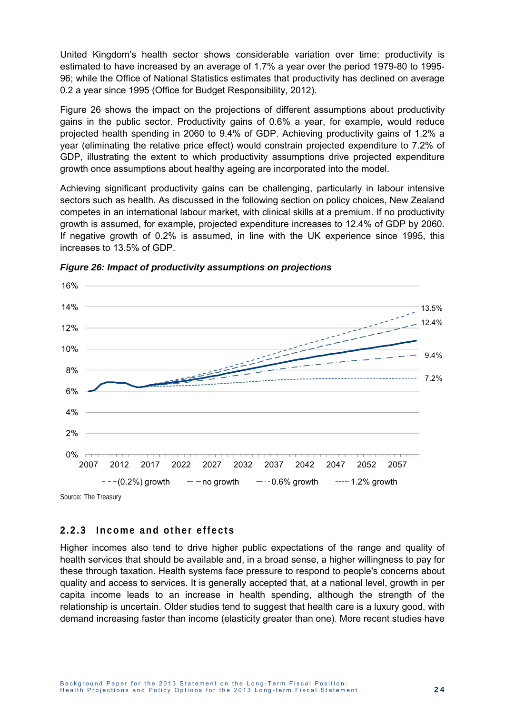United Kingdom's health sector shows considerable variation over time: productivity is estimated to have increased by an average of 1.7% a year over the period 1979-80 to 1995- 96; while the Office of National Statistics estimates that productivity has declined on average 0.2 a year since 1995 (Office for Budget Responsibility, 2012).

Figure 26 shows the impact on the projections of different assumptions about productivity gains in the public sector. Productivity gains of 0.6% a year, for example, would reduce projected health spending in 2060 to 9.4% of GDP. Achieving productivity gains of 1.2% a year (eliminating the relative price effect) would constrain projected expenditure to 7.2% of GDP, illustrating the extent to which productivity assumptions drive projected expenditure growth once assumptions about healthy ageing are incorporated into the model.

Achieving significant productivity gains can be challenging, particularly in labour intensive sectors such as health. As discussed in the following section on policy choices, New Zealand competes in an international labour market, with clinical skills at a premium. If no productivity growth is assumed, for example, projected expenditure increases to 12.4% of GDP by 2060. If negative growth of 0.2% is assumed, in line with the UK experience since 1995, this increases to 13.5% of GDP.



*Figure 26: Impact of productivity assumptions on projections* 

Source: The Treasury

#### **2.2.3 Income and other effects**

Higher incomes also tend to drive higher public expectations of the range and quality of health services that should be available and, in a broad sense, a higher willingness to pay for these through taxation. Health systems face pressure to respond to people's concerns about quality and access to services. It is generally accepted that, at a national level, growth in per capita income leads to an increase in health spending, although the strength of the relationship is uncertain. Older studies tend to suggest that health care is a luxury good, with demand increasing faster than income (elasticity greater than one). More recent studies have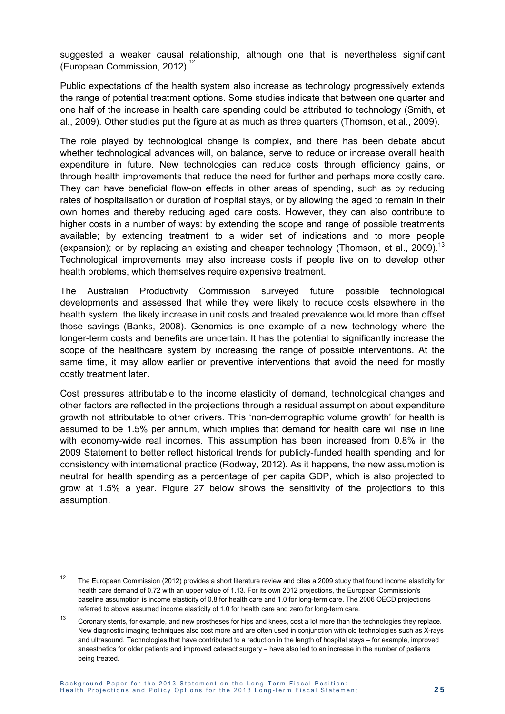suggested a weaker causal relationship, although one that is nevertheless significant (European Commission, 2012).

Public expectations of the health system also increase as technology progressively extends the range of potential treatment options. Some studies indicate that between one quarter and one half of the increase in health care spending could be attributed to technology (Smith, et al., 2009). Other studies put the figure at as much as three quarters (Thomson, et al., 2009).

The role played by technological change is complex, and there has been debate about whether technological advances will, on balance, serve to reduce or increase overall health expenditure in future. New technologies can reduce costs through efficiency gains, or through health improvements that reduce the need for further and perhaps more costly care. They can have beneficial flow-on effects in other areas of spending, such as by reducing rates of hospitalisation or duration of hospital stays, or by allowing the aged to remain in their own homes and thereby reducing aged care costs. However, they can also contribute to higher costs in a number of ways: by extending the scope and range of possible treatments available; by extending treatment to a wider set of indications and to more people (expansion); or by replacing an existing and cheaper technology (Thomson, et al., 2009).<sup>13</sup> Technological improvements may also increase costs if people live on to develop other health problems, which themselves require expensive treatment.

The Australian Productivity Commission surveyed future possible technological developments and assessed that while they were likely to reduce costs elsewhere in the health system, the likely increase in unit costs and treated prevalence would more than offset those savings (Banks, 2008). Genomics is one example of a new technology where the longer-term costs and benefits are uncertain. It has the potential to significantly increase the scope of the healthcare system by increasing the range of possible interventions. At the same time, it may allow earlier or preventive interventions that avoid the need for mostly costly treatment later.

Cost pressures attributable to the income elasticity of demand, technological changes and other factors are reflected in the projections through a residual assumption about expenditure growth not attributable to other drivers. This 'non-demographic volume growth' for health is assumed to be 1.5% per annum, which implies that demand for health care will rise in line with economy-wide real incomes. This assumption has been increased from 0.8% in the 2009 Statement to better reflect historical trends for publicly-funded health spending and for consistency with international practice (Rodway, 2012). As it happens, the new assumption is neutral for health spending as a percentage of per capita GDP, which is also projected to grow at 1.5% a year. Figure 27 below shows the sensitivity of the projections to this assumption.

 $\overline{a}$ 

<sup>&</sup>lt;sup>12</sup> The European Commission (2012) provides a short literature review and cites a 2009 study that found income elasticity for health care demand of 0.72 with an upper value of 1.13. For its own 2012 projections, the European Commission's baseline assumption is income elasticity of 0.8 for health care and 1.0 for long-term care. The 2006 OECD projections referred to above assumed income elasticity of 1.0 for health care and zero for long-term care.

<sup>&</sup>lt;sup>13</sup> Coronary stents, for example, and new prostheses for hips and knees, cost a lot more than the technologies they replace. New diagnostic imaging techniques also cost more and are often used in conjunction with old technologies such as X-rays and ultrasound. Technologies that have contributed to a reduction in the length of hospital stays – for example, improved anaesthetics for older patients and improved cataract surgery – have also led to an increase in the number of patients being treated.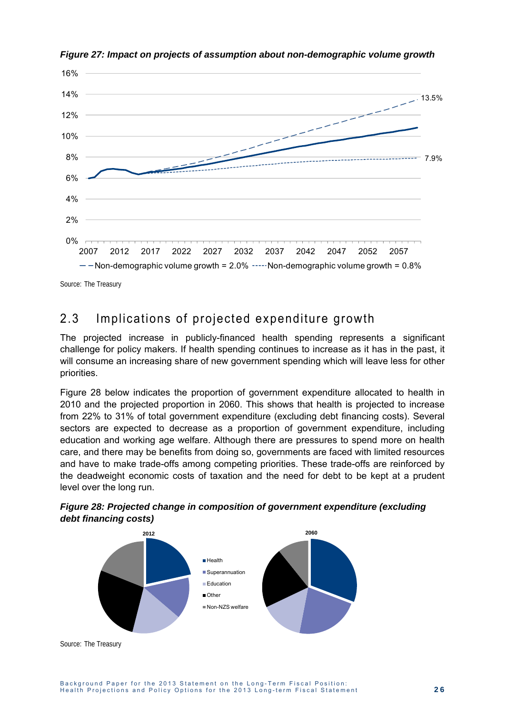

*Figure 27: Impact on projects of assumption about non-demographic volume growth* 

Source: The Treasury

## 2.3 Implications of projected expenditure growth

The projected increase in publicly-financed health spending represents a significant challenge for policy makers. If health spending continues to increase as it has in the past, it will consume an increasing share of new government spending which will leave less for other priorities.

Figure 28 below indicates the proportion of government expenditure allocated to health in 2010 and the projected proportion in 2060. This shows that health is projected to increase from 22% to 31% of total government expenditure (excluding debt financing costs). Several sectors are expected to decrease as a proportion of government expenditure, including education and working age welfare. Although there are pressures to spend more on health care, and there may be benefits from doing so, governments are faced with limited resources and have to make trade-offs among competing priorities. These trade-offs are reinforced by the deadweight economic costs of taxation and the need for debt to be kept at a prudent level over the long run.





Source: The Treasury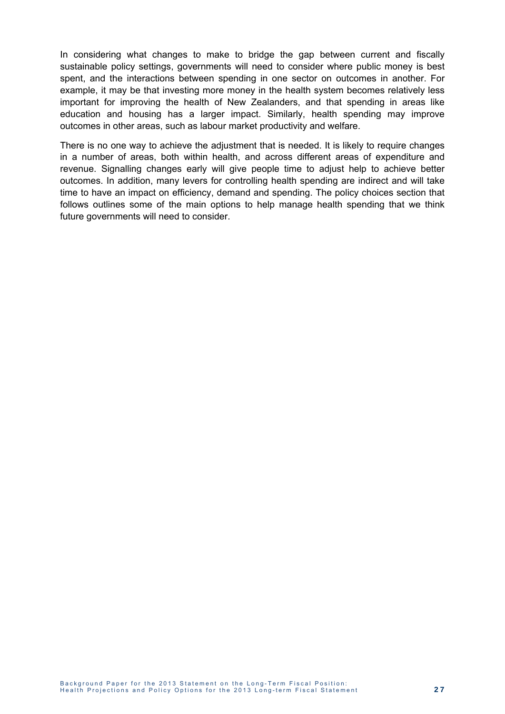In considering what changes to make to bridge the gap between current and fiscally sustainable policy settings, governments will need to consider where public money is best spent, and the interactions between spending in one sector on outcomes in another. For example, it may be that investing more money in the health system becomes relatively less important for improving the health of New Zealanders, and that spending in areas like education and housing has a larger impact. Similarly, health spending may improve outcomes in other areas, such as labour market productivity and welfare.

There is no one way to achieve the adjustment that is needed. It is likely to require changes in a number of areas, both within health, and across different areas of expenditure and revenue. Signalling changes early will give people time to adjust help to achieve better outcomes. In addition, many levers for controlling health spending are indirect and will take time to have an impact on efficiency, demand and spending. The policy choices section that follows outlines some of the main options to help manage health spending that we think future governments will need to consider.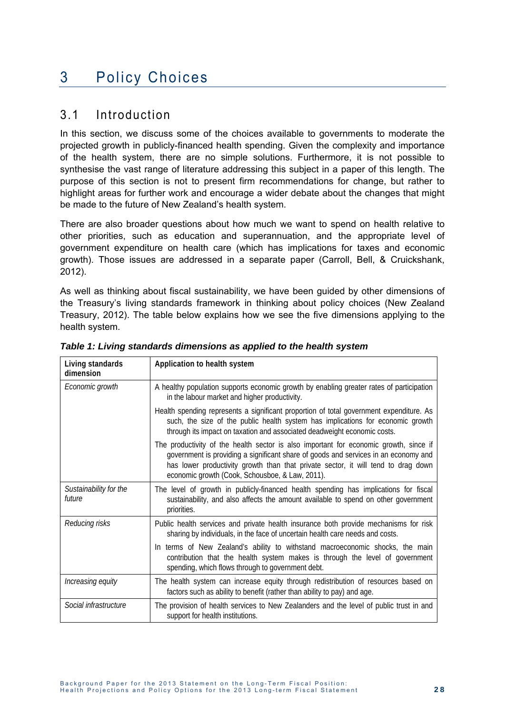## 3 Policy Choices

### 3.1 Introduction

In this section, we discuss some of the choices available to governments to moderate the projected growth in publicly-financed health spending. Given the complexity and importance of the health system, there are no simple solutions. Furthermore, it is not possible to synthesise the vast range of literature addressing this subject in a paper of this length. The purpose of this section is not to present firm recommendations for change, but rather to highlight areas for further work and encourage a wider debate about the changes that might be made to the future of New Zealand's health system.

There are also broader questions about how much we want to spend on health relative to other priorities, such as education and superannuation, and the appropriate level of government expenditure on health care (which has implications for taxes and economic growth). Those issues are addressed in a separate paper (Carroll, Bell, & Cruickshank, 2012).

As well as thinking about fiscal sustainability, we have been guided by other dimensions of the Treasury's living standards framework in thinking about policy choices (New Zealand Treasury, 2012). The table below explains how we see the five dimensions applying to the health system.

| Living standards<br>dimension    | Application to health system                                                                                                                                                                                                                                                                                         |
|----------------------------------|----------------------------------------------------------------------------------------------------------------------------------------------------------------------------------------------------------------------------------------------------------------------------------------------------------------------|
| Economic growth                  | A healthy population supports economic growth by enabling greater rates of participation<br>in the labour market and higher productivity.                                                                                                                                                                            |
|                                  | Health spending represents a significant proportion of total government expenditure. As<br>such, the size of the public health system has implications for economic growth<br>through its impact on taxation and associated deadweight economic costs.                                                               |
|                                  | The productivity of the health sector is also important for economic growth, since if<br>government is providing a significant share of goods and services in an economy and<br>has lower productivity growth than that private sector, it will tend to drag down<br>economic growth (Cook, Schousboe, & Law, 2011). |
| Sustainability for the<br>future | The level of growth in publicly-financed health spending has implications for fiscal<br>sustainability, and also affects the amount available to spend on other government<br>priorities.                                                                                                                            |
| Reducing risks                   | Public health services and private health insurance both provide mechanisms for risk<br>sharing by individuals, in the face of uncertain health care needs and costs.                                                                                                                                                |
|                                  | terms of New Zealand's ability to withstand macroeconomic shocks, the main<br>In.<br>contribution that the health system makes is through the level of government<br>spending, which flows through to government debt.                                                                                               |
| Increasing equity                | The health system can increase equity through redistribution of resources based on<br>factors such as ability to benefit (rather than ability to pay) and age.                                                                                                                                                       |
| Social infrastructure            | The provision of health services to New Zealanders and the level of public trust in and<br>support for health institutions.                                                                                                                                                                                          |

*Table 1: Living standards dimensions as applied to the health system*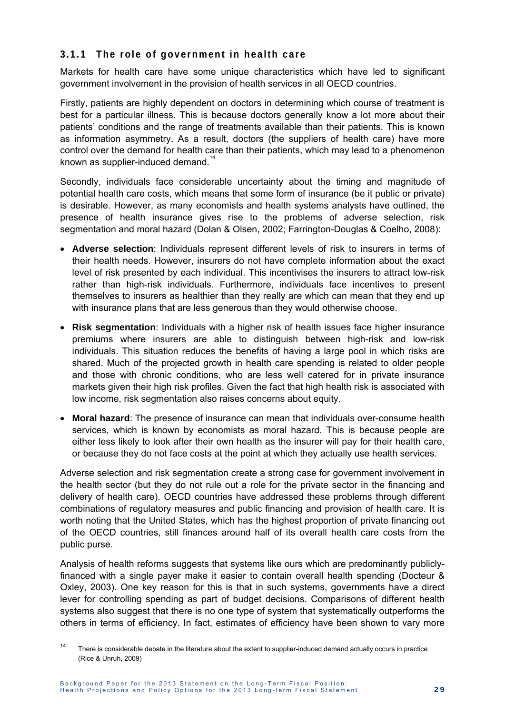#### **3.1.1 The role of government in health care**

Markets for health care have some unique characteristics which have led to significant government involvement in the provision of health services in all OECD countries.

Firstly, patients are highly dependent on doctors in determining which course of treatment is best for a particular illness. This is because doctors generally know a lot more about their patients' conditions and the range of treatments available than their patients. This is known as information asymmetry. As a result, doctors (the suppliers of health care) have more control over the demand for health care than their patients, which may lead to a phenomenon known as supplier-induced demand.<sup>14</sup>

Secondly, individuals face considerable uncertainty about the timing and magnitude of potential health care costs, which means that some form of insurance (be it public or private) is desirable. However, as many economists and health systems analysts have outlined, the presence of health insurance gives rise to the problems of adverse selection, risk segmentation and moral hazard (Dolan & Olsen, 2002; Farrington-Douglas & Coelho, 2008):

- **Adverse selection**: Individuals represent different levels of risk to insurers in terms of their health needs. However, insurers do not have complete information about the exact level of risk presented by each individual. This incentivises the insurers to attract low-risk rather than high-risk individuals. Furthermore, individuals face incentives to present themselves to insurers as healthier than they really are which can mean that they end up with insurance plans that are less generous than they would otherwise choose.
- **Risk segmentation**: Individuals with a higher risk of health issues face higher insurance premiums where insurers are able to distinguish between high-risk and low-risk individuals. This situation reduces the benefits of having a large pool in which risks are shared. Much of the projected growth in health care spending is related to older people and those with chronic conditions, who are less well catered for in private insurance markets given their high risk profiles. Given the fact that high health risk is associated with low income, risk segmentation also raises concerns about equity.
- **Moral hazard**: The presence of insurance can mean that individuals over-consume health services, which is known by economists as moral hazard. This is because people are either less likely to look after their own health as the insurer will pay for their health care, or because they do not face costs at the point at which they actually use health services.

Adverse selection and risk segmentation create a strong case for government involvement in the health sector (but they do not rule out a role for the private sector in the financing and delivery of health care). OECD countries have addressed these problems through different combinations of regulatory measures and public financing and provision of health care. It is worth noting that the United States, which has the highest proportion of private financing out of the OECD countries, still finances around half of its overall health care costs from the public purse.

Analysis of health reforms suggests that systems like ours which are predominantly publiclyfinanced with a single payer make it easier to contain overall health spending (Docteur & Oxley, 2003). One key reason for this is that in such systems, governments have a direct lever for controlling spending as part of budget decisions. Comparisons of different health systems also suggest that there is no one type of system that systematically outperforms the others in terms of efficiency. In fact, estimates of efficiency have been shown to vary more

 $14$ There is considerable debate in the literature about the extent to supplier-induced demand actually occurs in practice (Rice & Unruh, 2009)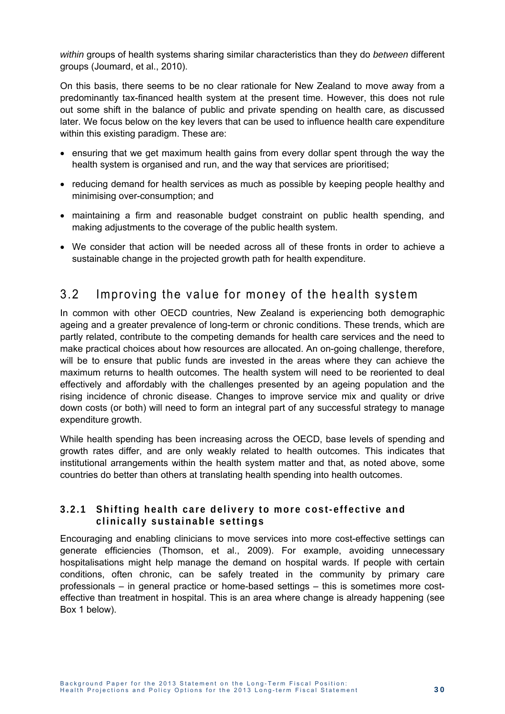*within* groups of health systems sharing similar characteristics than they do *between* different groups (Joumard, et al., 2010).

On this basis, there seems to be no clear rationale for New Zealand to move away from a predominantly tax-financed health system at the present time. However, this does not rule out some shift in the balance of public and private spending on health care, as discussed later. We focus below on the key levers that can be used to influence health care expenditure within this existing paradigm. These are:

- ensuring that we get maximum health gains from every dollar spent through the way the health system is organised and run, and the way that services are prioritised;
- reducing demand for health services as much as possible by keeping people healthy and minimising over-consumption; and
- maintaining a firm and reasonable budget constraint on public health spending, and making adjustments to the coverage of the public health system.
- We consider that action will be needed across all of these fronts in order to achieve a sustainable change in the projected growth path for health expenditure.

### 3.2 Improving the value for money of the health system

In common with other OECD countries, New Zealand is experiencing both demographic ageing and a greater prevalence of long-term or chronic conditions. These trends, which are partly related, contribute to the competing demands for health care services and the need to make practical choices about how resources are allocated. An on-going challenge, therefore, will be to ensure that public funds are invested in the areas where they can achieve the maximum returns to health outcomes. The health system will need to be reoriented to deal effectively and affordably with the challenges presented by an ageing population and the rising incidence of chronic disease. Changes to improve service mix and quality or drive down costs (or both) will need to form an integral part of any successful strategy to manage expenditure growth.

While health spending has been increasing across the OECD, base levels of spending and growth rates differ, and are only weakly related to health outcomes. This indicates that institutional arrangements within the health system matter and that, as noted above, some countries do better than others at translating health spending into health outcomes.

#### **3.2.1 Shifting health care delivery to more cost-effective and clinically sustainable settings**

Encouraging and enabling clinicians to move services into more cost-effective settings can generate efficiencies (Thomson, et al., 2009). For example, avoiding unnecessary hospitalisations might help manage the demand on hospital wards. If people with certain conditions, often chronic, can be safely treated in the community by primary care professionals – in general practice or home-based settings – this is sometimes more costeffective than treatment in hospital. This is an area where change is already happening (see Box 1 below).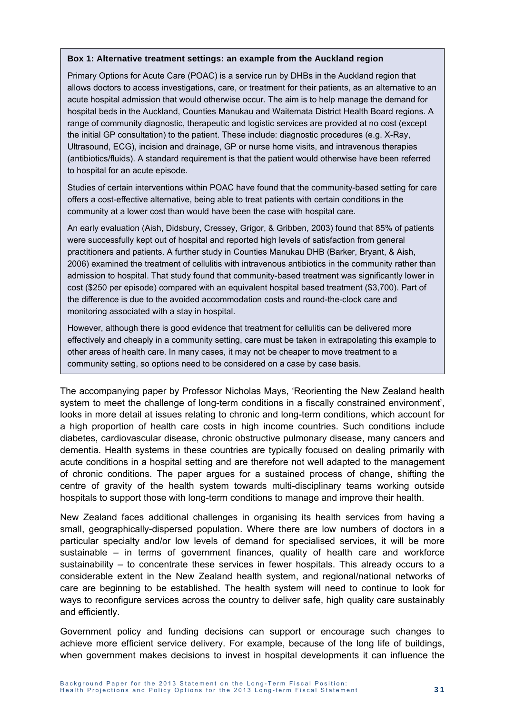#### **Box 1: Alternative treatment settings: an example from the Auckland region**

Primary Options for Acute Care (POAC) is a service run by DHBs in the Auckland region that allows doctors to access investigations, care, or treatment for their patients, as an alternative to an acute hospital admission that would otherwise occur. The aim is to help manage the demand for hospital beds in the Auckland, Counties Manukau and Waitemata District Health Board regions. A range of community diagnostic, therapeutic and logistic services are provided at no cost (except the initial GP consultation) to the patient. These include: diagnostic procedures (e.g. X-Ray, Ultrasound, ECG), incision and drainage, GP or nurse home visits, and intravenous therapies (antibiotics/fluids). A standard requirement is that the patient would otherwise have been referred to hospital for an acute episode.

Studies of certain interventions within POAC have found that the community-based setting for care offers a cost-effective alternative, being able to treat patients with certain conditions in the community at a lower cost than would have been the case with hospital care.

An early evaluation (Aish, Didsbury, Cressey, Grigor, & Gribben, 2003) found that 85% of patients were successfully kept out of hospital and reported high levels of satisfaction from general practitioners and patients. A further study in Counties Manukau DHB (Barker, Bryant, & Aish, 2006) examined the treatment of cellulitis with intravenous antibiotics in the community rather than admission to hospital. That study found that community-based treatment was significantly lower in cost (\$250 per episode) compared with an equivalent hospital based treatment (\$3,700). Part of the difference is due to the avoided accommodation costs and round-the-clock care and monitoring associated with a stay in hospital.

However, although there is good evidence that treatment for cellulitis can be delivered more effectively and cheaply in a community setting, care must be taken in extrapolating this example to other areas of health care. In many cases, it may not be cheaper to move treatment to a community setting, so options need to be considered on a case by case basis.

The accompanying paper by Professor Nicholas Mays, 'Reorienting the New Zealand health system to meet the challenge of long-term conditions in a fiscally constrained environment', looks in more detail at issues relating to chronic and long-term conditions, which account for a high proportion of health care costs in high income countries. Such conditions include diabetes, cardiovascular disease, chronic obstructive pulmonary disease, many cancers and dementia. Health systems in these countries are typically focused on dealing primarily with acute conditions in a hospital setting and are therefore not well adapted to the management of chronic conditions. The paper argues for a sustained process of change, shifting the centre of gravity of the health system towards multi-disciplinary teams working outside hospitals to support those with long-term conditions to manage and improve their health.

New Zealand faces additional challenges in organising its health services from having a small, geographically-dispersed population. Where there are low numbers of doctors in a particular specialty and/or low levels of demand for specialised services, it will be more sustainable – in terms of government finances, quality of health care and workforce sustainability – to concentrate these services in fewer hospitals. This already occurs to a considerable extent in the New Zealand health system, and regional/national networks of care are beginning to be established. The health system will need to continue to look for ways to reconfigure services across the country to deliver safe, high quality care sustainably and efficiently.

Government policy and funding decisions can support or encourage such changes to achieve more efficient service delivery. For example, because of the long life of buildings, when government makes decisions to invest in hospital developments it can influence the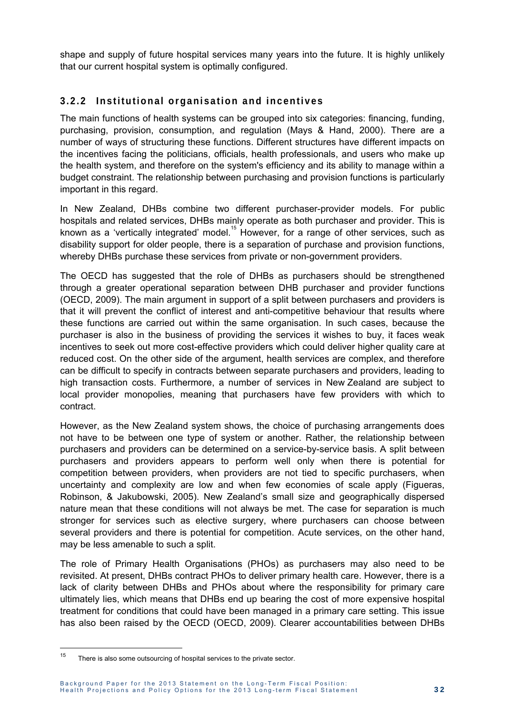shape and supply of future hospital services many years into the future. It is highly unlikely that our current hospital system is optimally configured.

#### **3.2.2 Institutional organisation and incentives**

The main functions of health systems can be grouped into six categories: financing, funding, purchasing, provision, consumption, and regulation (Mays & Hand, 2000). There are a number of ways of structuring these functions. Different structures have different impacts on the incentives facing the politicians, officials, health professionals, and users who make up the health system, and therefore on the system's efficiency and its ability to manage within a budget constraint. The relationship between purchasing and provision functions is particularly important in this regard.

In New Zealand, DHBs combine two different purchaser-provider models. For public hospitals and related services, DHBs mainly operate as both purchaser and provider. This is known as a 'vertically integrated' model.<sup>15</sup> However, for a range of other services, such as disability support for older people, there is a separation of purchase and provision functions, whereby DHBs purchase these services from private or non-government providers.

The OECD has suggested that the role of DHBs as purchasers should be strengthened through a greater operational separation between DHB purchaser and provider functions (OECD, 2009). The main argument in support of a split between purchasers and providers is that it will prevent the conflict of interest and anti-competitive behaviour that results where these functions are carried out within the same organisation. In such cases, because the purchaser is also in the business of providing the services it wishes to buy, it faces weak incentives to seek out more cost-effective providers which could deliver higher quality care at reduced cost. On the other side of the argument, health services are complex, and therefore can be difficult to specify in contracts between separate purchasers and providers, leading to high transaction costs. Furthermore, a number of services in New Zealand are subject to local provider monopolies, meaning that purchasers have few providers with which to contract.

However, as the New Zealand system shows, the choice of purchasing arrangements does not have to be between one type of system or another. Rather, the relationship between purchasers and providers can be determined on a service-by-service basis. A split between purchasers and providers appears to perform well only when there is potential for competition between providers, when providers are not tied to specific purchasers, when uncertainty and complexity are low and when few economies of scale apply (Figueras, Robinson, & Jakubowski, 2005). New Zealand's small size and geographically dispersed nature mean that these conditions will not always be met. The case for separation is much stronger for services such as elective surgery, where purchasers can choose between several providers and there is potential for competition. Acute services, on the other hand, may be less amenable to such a split.

The role of Primary Health Organisations (PHOs) as purchasers may also need to be revisited. At present, DHBs contract PHOs to deliver primary health care. However, there is a lack of clarity between DHBs and PHOs about where the responsibility for primary care ultimately lies, which means that DHBs end up bearing the cost of more expensive hospital treatment for conditions that could have been managed in a primary care setting. This issue has also been raised by the OECD (OECD, 2009). Clearer accountabilities between DHBs

 $15$ There is also some outsourcing of hospital services to the private sector.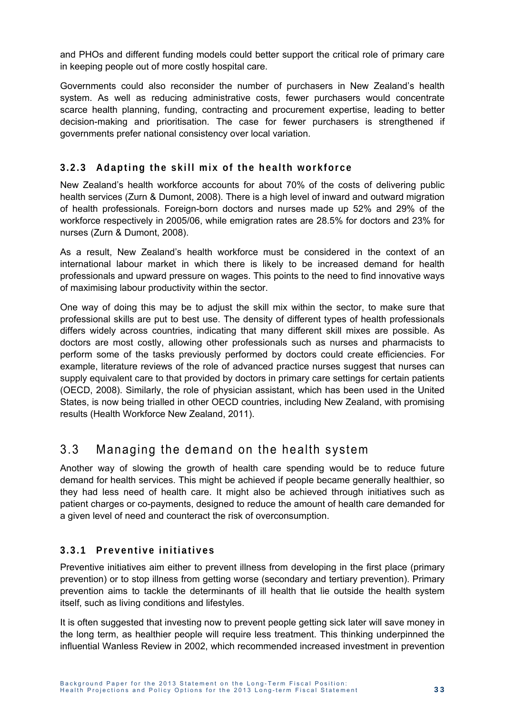and PHOs and different funding models could better support the critical role of primary care in keeping people out of more costly hospital care.

Governments could also reconsider the number of purchasers in New Zealand's health system. As well as reducing administrative costs, fewer purchasers would concentrate scarce health planning, funding, contracting and procurement expertise, leading to better decision-making and prioritisation. The case for fewer purchasers is strengthened if governments prefer national consistency over local variation.

#### **3.2.3 Adapting the skill mix of the health workforce**

New Zealand's health workforce accounts for about 70% of the costs of delivering public health services (Zurn & Dumont, 2008). There is a high level of inward and outward migration of health professionals. Foreign-born doctors and nurses made up 52% and 29% of the workforce respectively in 2005/06, while emigration rates are 28.5% for doctors and 23% for nurses (Zurn & Dumont, 2008).

As a result, New Zealand's health workforce must be considered in the context of an international labour market in which there is likely to be increased demand for health professionals and upward pressure on wages. This points to the need to find innovative ways of maximising labour productivity within the sector.

One way of doing this may be to adjust the skill mix within the sector, to make sure that professional skills are put to best use. The density of different types of health professionals differs widely across countries, indicating that many different skill mixes are possible. As doctors are most costly, allowing other professionals such as nurses and pharmacists to perform some of the tasks previously performed by doctors could create efficiencies. For example, literature reviews of the role of advanced practice nurses suggest that nurses can supply equivalent care to that provided by doctors in primary care settings for certain patients (OECD, 2008). Similarly, the role of physician assistant, which has been used in the United States, is now being trialled in other OECD countries, including New Zealand, with promising results (Health Workforce New Zealand, 2011).

## 3.3 Managing the demand on the health system

Another way of slowing the growth of health care spending would be to reduce future demand for health services. This might be achieved if people became generally healthier, so they had less need of health care. It might also be achieved through initiatives such as patient charges or co-payments, designed to reduce the amount of health care demanded for a given level of need and counteract the risk of overconsumption.

#### **3 . 3 . 1 P r e v e n t i v e i n i t i a t i v e s**

Preventive initiatives aim either to prevent illness from developing in the first place (primary prevention) or to stop illness from getting worse (secondary and tertiary prevention). Primary prevention aims to tackle the determinants of ill health that lie outside the health system itself, such as living conditions and lifestyles.

It is often suggested that investing now to prevent people getting sick later will save money in the long term, as healthier people will require less treatment. This thinking underpinned the influential Wanless Review in 2002, which recommended increased investment in prevention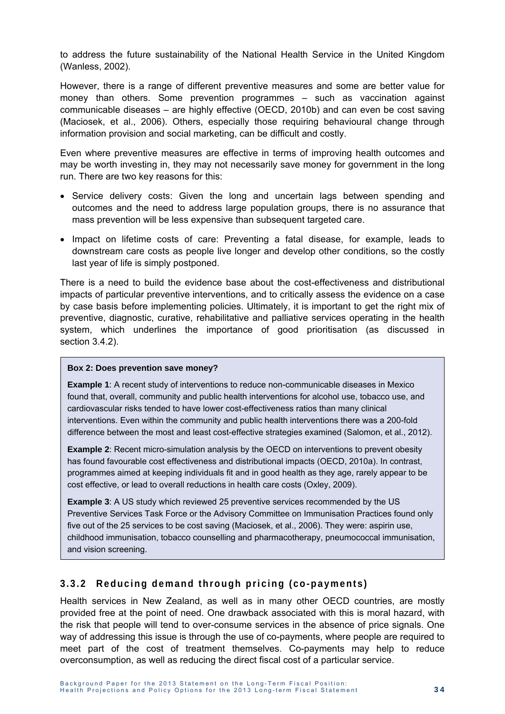to address the future sustainability of the National Health Service in the United Kingdom (Wanless, 2002).

However, there is a range of different preventive measures and some are better value for money than others. Some prevention programmes – such as vaccination against communicable diseases – are highly effective (OECD, 2010b) and can even be cost saving (Maciosek, et al., 2006). Others, especially those requiring behavioural change through information provision and social marketing, can be difficult and costly.

Even where preventive measures are effective in terms of improving health outcomes and may be worth investing in, they may not necessarily save money for government in the long run. There are two key reasons for this:

- Service delivery costs: Given the long and uncertain lags between spending and outcomes and the need to address large population groups, there is no assurance that mass prevention will be less expensive than subsequent targeted care.
- Impact on lifetime costs of care: Preventing a fatal disease, for example, leads to downstream care costs as people live longer and develop other conditions, so the costly last year of life is simply postponed.

There is a need to build the evidence base about the cost-effectiveness and distributional impacts of particular preventive interventions, and to critically assess the evidence on a case by case basis before implementing policies. Ultimately, it is important to get the right mix of preventive, diagnostic, curative, rehabilitative and palliative services operating in the health system, which underlines the importance of good prioritisation (as discussed in section 3.4.2).

#### **Box 2: Does prevention save money?**

**Example 1**: A recent study of interventions to reduce non-communicable diseases in Mexico found that, overall, community and public health interventions for alcohol use, tobacco use, and cardiovascular risks tended to have lower cost-effectiveness ratios than many clinical interventions. Even within the community and public health interventions there was a 200-fold difference between the most and least cost-effective strategies examined (Salomon, et al., 2012).

**Example 2**: Recent micro-simulation analysis by the OECD on interventions to prevent obesity has found favourable cost effectiveness and distributional impacts (OECD, 2010a). In contrast, programmes aimed at keeping individuals fit and in good health as they age, rarely appear to be cost effective, or lead to overall reductions in health care costs (Oxley, 2009).

**Example 3**: A US study which reviewed 25 preventive services recommended by the US Preventive Services Task Force or the Advisory Committee on Immunisation Practices found only five out of the 25 services to be cost saving (Maciosek, et al., 2006). They were: aspirin use, childhood immunisation, tobacco counselling and pharmacotherapy, pneumococcal immunisation, and vision screening.

#### **3.3.2 Reducing demand through pricing (co-payments)**

Health services in New Zealand, as well as in many other OECD countries, are mostly provided free at the point of need. One drawback associated with this is moral hazard, with the risk that people will tend to over-consume services in the absence of price signals. One way of addressing this issue is through the use of co-payments, where people are required to meet part of the cost of treatment themselves. Co-payments may help to reduce overconsumption, as well as reducing the direct fiscal cost of a particular service.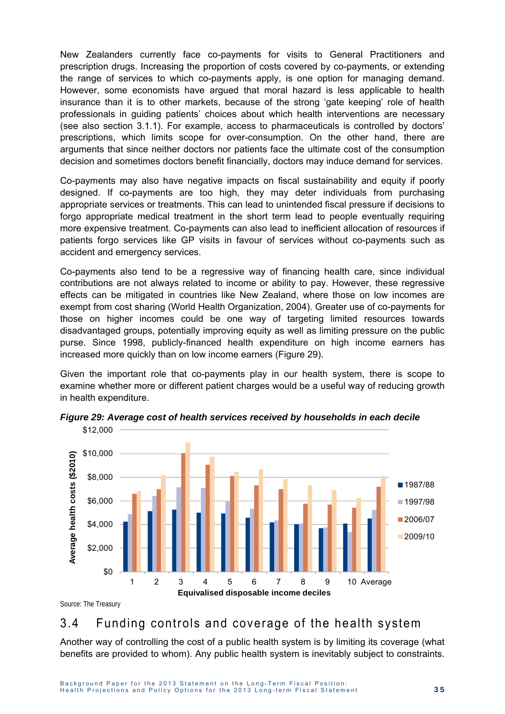New Zealanders currently face co-payments for visits to General Practitioners and prescription drugs. Increasing the proportion of costs covered by co-payments, or extending the range of services to which co-payments apply, is one option for managing demand. However, some economists have argued that moral hazard is less applicable to health insurance than it is to other markets, because of the strong 'gate keeping' role of health professionals in guiding patients' choices about which health interventions are necessary (see also section 3.1.1). For example, access to pharmaceuticals is controlled by doctors' prescriptions, which limits scope for over-consumption. On the other hand, there are arguments that since neither doctors nor patients face the ultimate cost of the consumption decision and sometimes doctors benefit financially, doctors may induce demand for services.

Co-payments may also have negative impacts on fiscal sustainability and equity if poorly designed. If co-payments are too high, they may deter individuals from purchasing appropriate services or treatments. This can lead to unintended fiscal pressure if decisions to forgo appropriate medical treatment in the short term lead to people eventually requiring more expensive treatment. Co-payments can also lead to inefficient allocation of resources if patients forgo services like GP visits in favour of services without co-payments such as accident and emergency services.

Co-payments also tend to be a regressive way of financing health care, since individual contributions are not always related to income or ability to pay. However, these regressive effects can be mitigated in countries like New Zealand, where those on low incomes are exempt from cost sharing (World Health Organization, 2004). Greater use of co-payments for those on higher incomes could be one way of targeting limited resources towards disadvantaged groups, potentially improving equity as well as limiting pressure on the public purse. Since 1998, publicly-financed health expenditure on high income earners has increased more quickly than on low income earners (Figure 29).

Given the important role that co-payments play in our health system, there is scope to examine whether more or different patient charges would be a useful way of reducing growth in health expenditure.



*Figure 29: Average cost of health services received by households in each decile* 

Source: The Treasury

### 3.4 Funding controls and coverage of the health system

Another way of controlling the cost of a public health system is by limiting its coverage (what benefits are provided to whom). Any public health system is inevitably subject to constraints.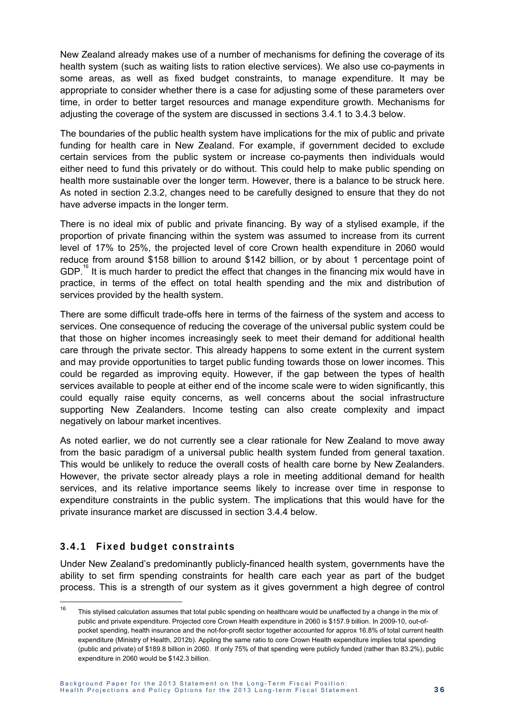New Zealand already makes use of a number of mechanisms for defining the coverage of its health system (such as waiting lists to ration elective services). We also use co-payments in some areas, as well as fixed budget constraints, to manage expenditure. It may be appropriate to consider whether there is a case for adjusting some of these parameters over time, in order to better target resources and manage expenditure growth. Mechanisms for adjusting the coverage of the system are discussed in sections 3.4.1 to 3.4.3 below.

The boundaries of the public health system have implications for the mix of public and private funding for health care in New Zealand. For example, if government decided to exclude certain services from the public system or increase co-payments then individuals would either need to fund this privately or do without. This could help to make public spending on health more sustainable over the longer term. However, there is a balance to be struck here. As noted in section 2.3.2, changes need to be carefully designed to ensure that they do not have adverse impacts in the longer term.

There is no ideal mix of public and private financing. By way of a stylised example, if the proportion of private financing within the system was assumed to increase from its current level of 17% to 25%, the projected level of core Crown health expenditure in 2060 would reduce from around \$158 billion to around \$142 billion, or by about 1 percentage point of GDP.<sup>16</sup> It is much harder to predict the effect that changes in the financing mix would have in practice, in terms of the effect on total health spending and the mix and distribution of services provided by the health system.

There are some difficult trade-offs here in terms of the fairness of the system and access to services. One consequence of reducing the coverage of the universal public system could be that those on higher incomes increasingly seek to meet their demand for additional health care through the private sector. This already happens to some extent in the current system and may provide opportunities to target public funding towards those on lower incomes. This could be regarded as improving equity. However, if the gap between the types of health services available to people at either end of the income scale were to widen significantly, this could equally raise equity concerns, as well concerns about the social infrastructure supporting New Zealanders. Income testing can also create complexity and impact negatively on labour market incentives.

As noted earlier, we do not currently see a clear rationale for New Zealand to move away from the basic paradigm of a universal public health system funded from general taxation. This would be unlikely to reduce the overall costs of health care borne by New Zealanders. However, the private sector already plays a role in meeting additional demand for health services, and its relative importance seems likely to increase over time in response to expenditure constraints in the public system. The implications that this would have for the private insurance market are discussed in section 3.4.4 below.

#### **3.4.1 Fixed budget constraints**

 $\overline{a}$ 

Under New Zealand's predominantly publicly-financed health system, governments have the ability to set firm spending constraints for health care each year as part of the budget process. This is a strength of our system as it gives government a high degree of control

<sup>&</sup>lt;sup>16</sup> This stylised calculation assumes that total public spending on healthcare would be unaffected by a change in the mix of public and private expenditure. Projected core Crown Health expenditure in 2060 is \$157.9 billion. In 2009-10, out-ofpocket spending, health insurance and the not-for-profit sector together accounted for approx 16.8% of total current health expenditure (Ministry of Health, 2012b). Appling the same ratio to core Crown Health expenditure implies total spending (public and private) of \$189.8 billion in 2060. If only 75% of that spending were publicly funded (rather than 83.2%), public expenditure in 2060 would be \$142.3 billion.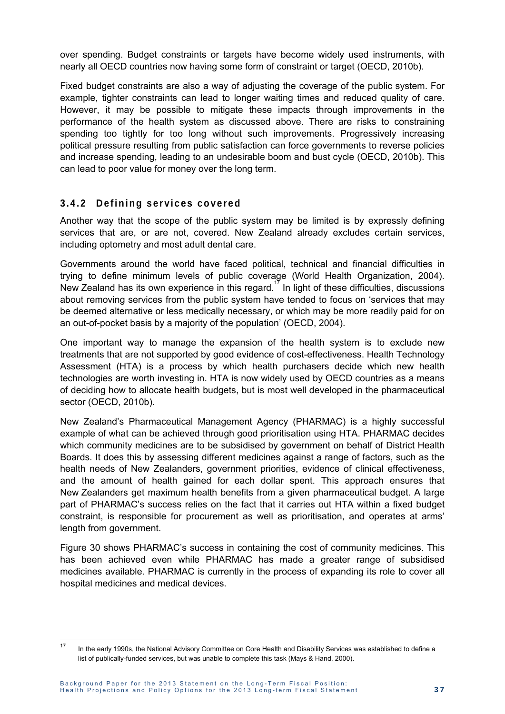over spending. Budget constraints or targets have become widely used instruments, with nearly all OECD countries now having some form of constraint or target (OECD, 2010b).

Fixed budget constraints are also a way of adjusting the coverage of the public system. For example, tighter constraints can lead to longer waiting times and reduced quality of care. However, it may be possible to mitigate these impacts through improvements in the performance of the health system as discussed above. There are risks to constraining spending too tightly for too long without such improvements. Progressively increasing political pressure resulting from public satisfaction can force governments to reverse policies and increase spending, leading to an undesirable boom and bust cycle (OECD, 2010b). This can lead to poor value for money over the long term.

#### **3.4.2 Defining services covered**

Another way that the scope of the public system may be limited is by expressly defining services that are, or are not, covered. New Zealand already excludes certain services, including optometry and most adult dental care.

Governments around the world have faced political, technical and financial difficulties in trying to define minimum levels of public coverage (World Health Organization, 2004). New Zealand has its own experience in this regard.<sup>17</sup> In light of these difficulties, discussions about removing services from the public system have tended to focus on 'services that may be deemed alternative or less medically necessary, or which may be more readily paid for on an out-of-pocket basis by a majority of the population' (OECD, 2004).

One important way to manage the expansion of the health system is to exclude new treatments that are not supported by good evidence of cost-effectiveness. Health Technology Assessment (HTA) is a process by which health purchasers decide which new health technologies are worth investing in. HTA is now widely used by OECD countries as a means of deciding how to allocate health budgets, but is most well developed in the pharmaceutical sector (OECD, 2010b).

New Zealand's Pharmaceutical Management Agency (PHARMAC) is a highly successful example of what can be achieved through good prioritisation using HTA. PHARMAC decides which community medicines are to be subsidised by government on behalf of District Health Boards. It does this by assessing different medicines against a range of factors, such as the health needs of New Zealanders, government priorities, evidence of clinical effectiveness, and the amount of health gained for each dollar spent. This approach ensures that New Zealanders get maximum health benefits from a given pharmaceutical budget. A large part of PHARMAC's success relies on the fact that it carries out HTA within a fixed budget constraint, is responsible for procurement as well as prioritisation, and operates at arms' length from government.

Figure 30 shows PHARMAC's success in containing the cost of community medicines. This has been achieved even while PHARMAC has made a greater range of subsidised medicines available. PHARMAC is currently in the process of expanding its role to cover all hospital medicines and medical devices.

 $17$ 17 In the early 1990s, the National Advisory Committee on Core Health and Disability Services was established to define a list of publically-funded services, but was unable to complete this task (Mays & Hand, 2000).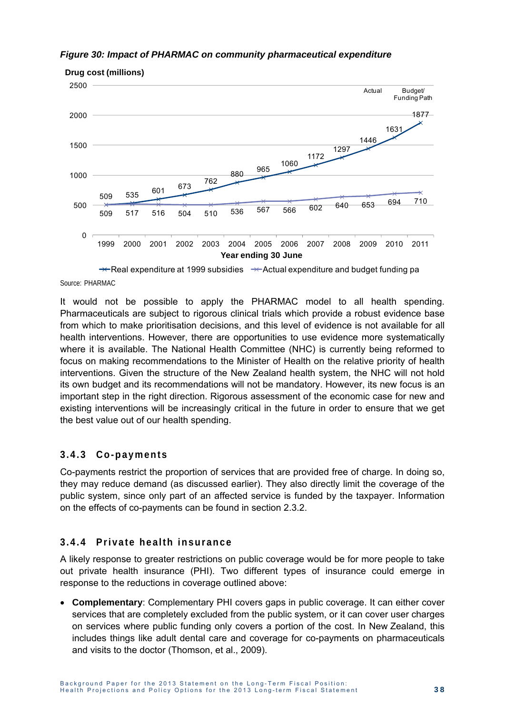



**Drug cost (millions)**

 $\rightarrow$  Real expenditure at 1999 subsidies  $\rightarrow$  Actual expenditure and budget funding pa Source: PHARMAC

It would not be possible to apply the PHARMAC model to all health spending. Pharmaceuticals are subject to rigorous clinical trials which provide a robust evidence base from which to make prioritisation decisions, and this level of evidence is not available for all health interventions. However, there are opportunities to use evidence more systematically where it is available. The National Health Committee (NHC) is currently being reformed to focus on making recommendations to the Minister of Health on the relative priority of health interventions. Given the structure of the New Zealand health system, the NHC will not hold its own budget and its recommendations will not be mandatory. However, its new focus is an important step in the right direction. Rigorous assessment of the economic case for new and existing interventions will be increasingly critical in the future in order to ensure that we get the best value out of our health spending.

#### **3.4.3 Co-payments**

Co-payments restrict the proportion of services that are provided free of charge. In doing so, they may reduce demand (as discussed earlier). They also directly limit the coverage of the public system, since only part of an affected service is funded by the taxpayer. Information on the effects of co-payments can be found in section 2.3.2.

#### **3.4.4 Private health insurance**

A likely response to greater restrictions on public coverage would be for more people to take out private health insurance (PHI). Two different types of insurance could emerge in response to the reductions in coverage outlined above:

 **Complementary**: Complementary PHI covers gaps in public coverage. It can either cover services that are completely excluded from the public system, or it can cover user charges on services where public funding only covers a portion of the cost. In New Zealand, this includes things like adult dental care and coverage for co-payments on pharmaceuticals and visits to the doctor (Thomson, et al., 2009).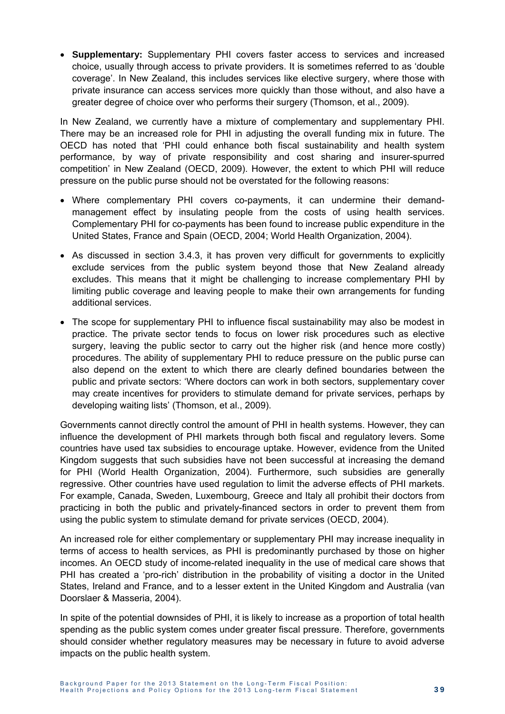**Supplementary:** Supplementary PHI covers faster access to services and increased choice, usually through access to private providers. It is sometimes referred to as 'double coverage'. In New Zealand, this includes services like elective surgery, where those with private insurance can access services more quickly than those without, and also have a greater degree of choice over who performs their surgery (Thomson, et al., 2009).

In New Zealand, we currently have a mixture of complementary and supplementary PHI. There may be an increased role for PHI in adjusting the overall funding mix in future. The OECD has noted that 'PHI could enhance both fiscal sustainability and health system performance, by way of private responsibility and cost sharing and insurer-spurred competition' in New Zealand (OECD, 2009). However, the extent to which PHI will reduce pressure on the public purse should not be overstated for the following reasons:

- Where complementary PHI covers co-payments, it can undermine their demandmanagement effect by insulating people from the costs of using health services. Complementary PHI for co-payments has been found to increase public expenditure in the United States, France and Spain (OECD, 2004; World Health Organization, 2004).
- As discussed in section 3.4.3, it has proven very difficult for governments to explicitly exclude services from the public system beyond those that New Zealand already excludes. This means that it might be challenging to increase complementary PHI by limiting public coverage and leaving people to make their own arrangements for funding additional services.
- The scope for supplementary PHI to influence fiscal sustainability may also be modest in practice. The private sector tends to focus on lower risk procedures such as elective surgery, leaving the public sector to carry out the higher risk (and hence more costly) procedures. The ability of supplementary PHI to reduce pressure on the public purse can also depend on the extent to which there are clearly defined boundaries between the public and private sectors: 'Where doctors can work in both sectors, supplementary cover may create incentives for providers to stimulate demand for private services, perhaps by developing waiting lists' (Thomson, et al., 2009).

Governments cannot directly control the amount of PHI in health systems. However, they can influence the development of PHI markets through both fiscal and regulatory levers. Some countries have used tax subsidies to encourage uptake. However, evidence from the United Kingdom suggests that such subsidies have not been successful at increasing the demand for PHI (World Health Organization, 2004). Furthermore, such subsidies are generally regressive. Other countries have used regulation to limit the adverse effects of PHI markets. For example, Canada, Sweden, Luxembourg, Greece and Italy all prohibit their doctors from practicing in both the public and privately-financed sectors in order to prevent them from using the public system to stimulate demand for private services (OECD, 2004).

An increased role for either complementary or supplementary PHI may increase inequality in terms of access to health services, as PHI is predominantly purchased by those on higher incomes. An OECD study of income-related inequality in the use of medical care shows that PHI has created a 'pro-rich' distribution in the probability of visiting a doctor in the United States, Ireland and France, and to a lesser extent in the United Kingdom and Australia (van Doorslaer & Masseria, 2004).

In spite of the potential downsides of PHI, it is likely to increase as a proportion of total health spending as the public system comes under greater fiscal pressure. Therefore, governments should consider whether regulatory measures may be necessary in future to avoid adverse impacts on the public health system.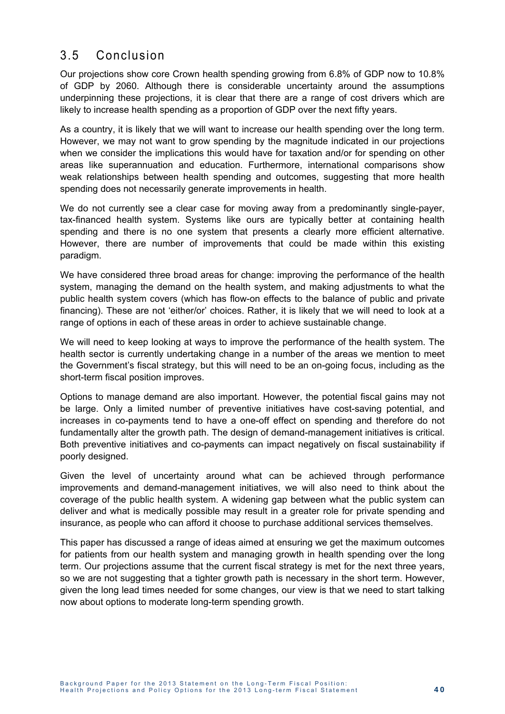### 3.5 Conclusion

Our projections show core Crown health spending growing from 6.8% of GDP now to 10.8% of GDP by 2060. Although there is considerable uncertainty around the assumptions underpinning these projections, it is clear that there are a range of cost drivers which are likely to increase health spending as a proportion of GDP over the next fifty years.

As a country, it is likely that we will want to increase our health spending over the long term. However, we may not want to grow spending by the magnitude indicated in our projections when we consider the implications this would have for taxation and/or for spending on other areas like superannuation and education. Furthermore, international comparisons show weak relationships between health spending and outcomes, suggesting that more health spending does not necessarily generate improvements in health.

We do not currently see a clear case for moving away from a predominantly single-payer, tax-financed health system. Systems like ours are typically better at containing health spending and there is no one system that presents a clearly more efficient alternative. However, there are number of improvements that could be made within this existing paradigm.

We have considered three broad areas for change: improving the performance of the health system, managing the demand on the health system, and making adjustments to what the public health system covers (which has flow-on effects to the balance of public and private financing). These are not 'either/or' choices. Rather, it is likely that we will need to look at a range of options in each of these areas in order to achieve sustainable change.

We will need to keep looking at ways to improve the performance of the health system. The health sector is currently undertaking change in a number of the areas we mention to meet the Government's fiscal strategy, but this will need to be an on-going focus, including as the short-term fiscal position improves.

Options to manage demand are also important. However, the potential fiscal gains may not be large. Only a limited number of preventive initiatives have cost-saving potential, and increases in co-payments tend to have a one-off effect on spending and therefore do not fundamentally alter the growth path. The design of demand-management initiatives is critical. Both preventive initiatives and co-payments can impact negatively on fiscal sustainability if poorly designed.

Given the level of uncertainty around what can be achieved through performance improvements and demand-management initiatives, we will also need to think about the coverage of the public health system. A widening gap between what the public system can deliver and what is medically possible may result in a greater role for private spending and insurance, as people who can afford it choose to purchase additional services themselves.

This paper has discussed a range of ideas aimed at ensuring we get the maximum outcomes for patients from our health system and managing growth in health spending over the long term. Our projections assume that the current fiscal strategy is met for the next three years, so we are not suggesting that a tighter growth path is necessary in the short term. However, given the long lead times needed for some changes, our view is that we need to start talking now about options to moderate long-term spending growth.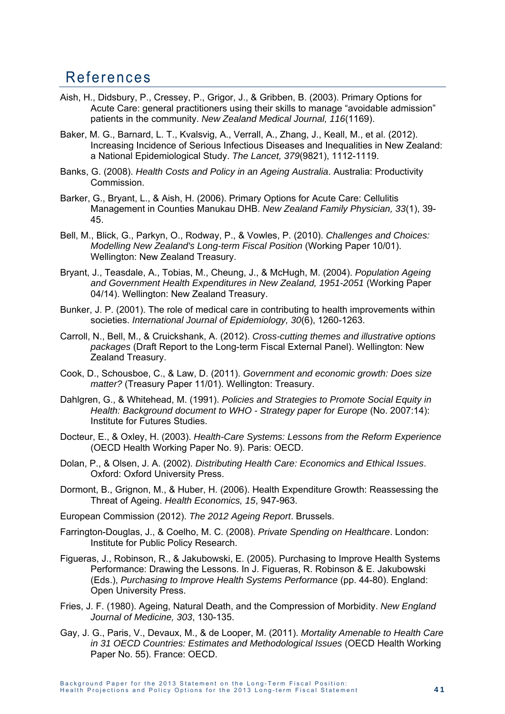## References

- Aish, H., Didsbury, P., Cressey, P., Grigor, J., & Gribben, B. (2003). Primary Options for Acute Care: general practitioners using their skills to manage "avoidable admission" patients in the community. *New Zealand Medical Journal, 116*(1169).
- Baker, M. G., Barnard, L. T., Kvalsvig, A., Verrall, A., Zhang, J., Keall, M., et al. (2012). Increasing Incidence of Serious Infectious Diseases and Inequalities in New Zealand: a National Epidemiological Study. *The Lancet, 379*(9821), 1112-1119.
- Banks, G. (2008). *Health Costs and Policy in an Ageing Australia*. Australia: Productivity Commission.
- Barker, G., Bryant, L., & Aish, H. (2006). Primary Options for Acute Care: Cellulitis Management in Counties Manukau DHB. *New Zealand Family Physician, 33*(1), 39- 45.
- Bell, M., Blick, G., Parkyn, O., Rodway, P., & Vowles, P. (2010). *Challenges and Choices: Modelling New Zealand's Long-term Fiscal Position* (Working Paper 10/01). Wellington: New Zealand Treasury.
- Bryant, J., Teasdale, A., Tobias, M., Cheung, J., & McHugh, M. (2004). *Population Ageing and Government Health Expenditures in New Zealand, 1951-2051* (Working Paper 04/14). Wellington: New Zealand Treasury.
- Bunker, J. P. (2001). The role of medical care in contributing to health improvements within societies. *International Journal of Epidemiology, 30*(6), 1260-1263.
- Carroll, N., Bell, M., & Cruickshank, A. (2012). *Cross-cutting themes and illustrative options packages* (Draft Report to the Long-term Fiscal External Panel). Wellington: New Zealand Treasury.
- Cook, D., Schousboe, C., & Law, D. (2011). *Government and economic growth: Does size matter?* (Treasury Paper 11/01). Wellington: Treasury.
- Dahlgren, G., & Whitehead, M. (1991). *Policies and Strategies to Promote Social Equity in Health: Background document to WHO - Strategy paper for Europe* (No. 2007:14): Institute for Futures Studies.
- Docteur, E., & Oxley, H. (2003). *Health-Care Systems: Lessons from the Reform Experience* (OECD Health Working Paper No. 9). Paris: OECD.
- Dolan, P., & Olsen, J. A. (2002). *Distributing Health Care: Economics and Ethical Issues*. Oxford: Oxford University Press.
- Dormont, B., Grignon, M., & Huber, H. (2006). Health Expenditure Growth: Reassessing the Threat of Ageing. *Health Economics, 15*, 947-963.
- European Commission (2012). *The 2012 Ageing Report*. Brussels.
- Farrington-Douglas, J., & Coelho, M. C. (2008). *Private Spending on Healthcare*. London: Institute for Public Policy Research.
- Figueras, J., Robinson, R., & Jakubowski, E. (2005). Purchasing to Improve Health Systems Performance: Drawing the Lessons. In J. Figueras, R. Robinson & E. Jakubowski (Eds.), *Purchasing to Improve Health Systems Performance* (pp. 44-80). England: Open University Press.
- Fries, J. F. (1980). Ageing, Natural Death, and the Compression of Morbidity. *New England Journal of Medicine, 303*, 130-135.
- Gay, J. G., Paris, V., Devaux, M., & de Looper, M. (2011). *Mortality Amenable to Health Care in 31 OECD Countries: Estimates and Methodological Issues* (OECD Health Working Paper No. 55). France: OECD.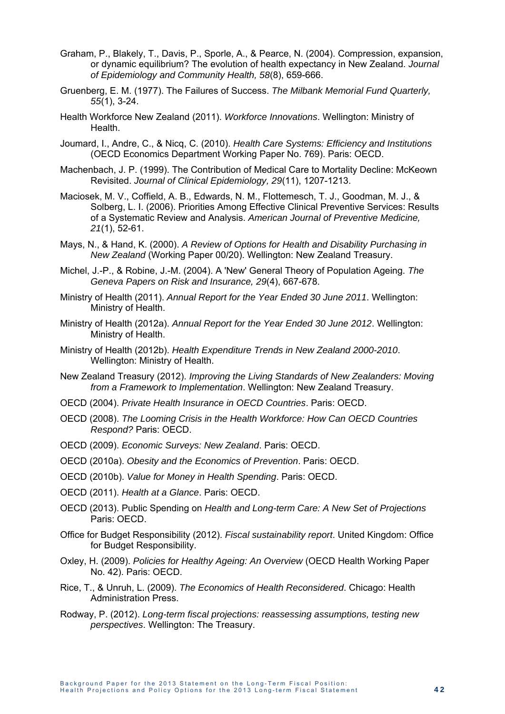- Graham, P., Blakely, T., Davis, P., Sporle, A., & Pearce, N. (2004). Compression, expansion, or dynamic equilibrium? The evolution of health expectancy in New Zealand. *Journal of Epidemiology and Community Health, 58*(8), 659-666.
- Gruenberg, E. M. (1977). The Failures of Success. *The Milbank Memorial Fund Quarterly, 55*(1), 3-24.
- Health Workforce New Zealand (2011). *Workforce Innovations*. Wellington: Ministry of Health.
- Joumard, I., Andre, C., & Nicq, C. (2010). *Health Care Systems: Efficiency and Institutions* (OECD Economics Department Working Paper No. 769). Paris: OECD.
- Machenbach, J. P. (1999). The Contribution of Medical Care to Mortality Decline: McKeown Revisited. *Journal of Clinical Epidemiology, 29*(11), 1207-1213.
- Maciosek, M. V., Coffield, A. B., Edwards, N. M., Flottemesch, T. J., Goodman, M. J., & Solberg, L. I. (2006). Priorities Among Effective Clinical Preventive Services: Results of a Systematic Review and Analysis. *American Journal of Preventive Medicine, 21*(1), 52-61.
- Mays, N., & Hand, K. (2000). *A Review of Options for Health and Disability Purchasing in New Zealand* (Working Paper 00/20). Wellington: New Zealand Treasury.
- Michel, J.-P., & Robine, J.-M. (2004). A 'New' General Theory of Population Ageing. *The Geneva Papers on Risk and Insurance, 29*(4), 667-678.
- Ministry of Health (2011). *Annual Report for the Year Ended 30 June 2011*. Wellington: Ministry of Health.
- Ministry of Health (2012a). *Annual Report for the Year Ended 30 June 2012*. Wellington: Ministry of Health.
- Ministry of Health (2012b). *Health Expenditure Trends in New Zealand 2000-2010*. Wellington: Ministry of Health.
- New Zealand Treasury (2012). *Improving the Living Standards of New Zealanders: Moving from a Framework to Implementation*. Wellington: New Zealand Treasury.
- OECD (2004). *Private Health Insurance in OECD Countries*. Paris: OECD.
- OECD (2008). *The Looming Crisis in the Health Workforce: How Can OECD Countries Respond?* Paris: OECD.
- OECD (2009). *Economic Surveys: New Zealand*. Paris: OECD.
- OECD (2010a). *Obesity and the Economics of Prevention*. Paris: OECD.
- OECD (2010b). *Value for Money in Health Spending*. Paris: OECD.
- OECD (2011). *Health at a Glance*. Paris: OECD.
- OECD (2013). Public Spending on *Health and Long-term Care: A New Set of Projections* Paris: OECD.
- Office for Budget Responsibility (2012). *Fiscal sustainability report*. United Kingdom: Office for Budget Responsibility.
- Oxley, H. (2009). *Policies for Healthy Ageing: An Overview* (OECD Health Working Paper No. 42). Paris: OECD.
- Rice, T., & Unruh, L. (2009). *The Economics of Health Reconsidered*. Chicago: Health Administration Press.
- Rodway, P. (2012). *Long-term fiscal projections: reassessing assumptions, testing new perspectives*. Wellington: The Treasury.